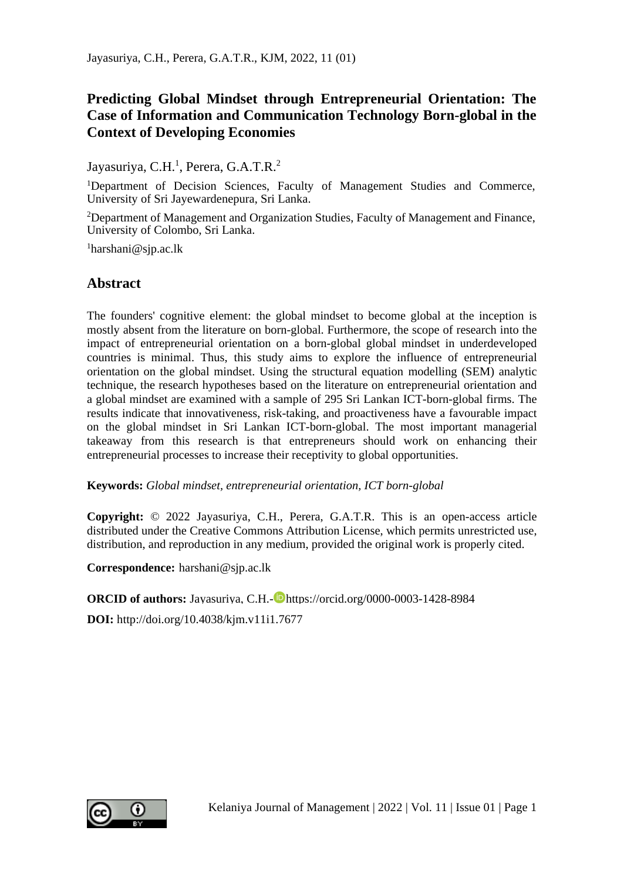# **Predicting Global Mindset through Entrepreneurial Orientation: The Case of Information and Communication Technology Born-global in the Context of Developing Economies**

Jayasuriya, C.H.<sup>1</sup>, Perera, G.A.T.R.<sup>2</sup>

<sup>1</sup>Department of Decision Sciences, Faculty of Management Studies and Commerce, University of Sri Jayewardenepura, Sri Lanka.

<sup>2</sup>Department of Management and Organization Studies, Faculty of Management and Finance, University of Colombo, Sri Lanka.

<sup>1</sup>harshani@sjp.ac.lk

## **Abstract**

The founders' cognitive element: the global mindset to become global at the inception is mostly absent from the literature on born-global. Furthermore, the scope of research into the impact of entrepreneurial orientation on a born-global global mindset in underdeveloped countries is minimal. Thus, this study aims to explore the influence of entrepreneurial orientation on the global mindset. Using the structural equation modelling (SEM) analytic technique, the research hypotheses based on the literature on entrepreneurial orientation and a global mindset are examined with a sample of 295 Sri Lankan ICT-born-global firms. The results indicate that innovativeness, risk-taking, and proactiveness have a favourable impact on the global mindset in Sri Lankan ICT-born-global. The most important managerial takeaway from this research is that entrepreneurs should work on enhancing their entrepreneurial processes to increase their receptivity to global opportunities.

**Keywords:** *Global mindset, entrepreneurial orientation, ICT born-global* 

**Copyright:** © 2022 Jayasuriya, C.H., Perera, G.A.T.R. This is an open-access article distributed under the Creative Commons Attribution License, which permits unrestricted use, distribution, and reproduction in any medium, provided the original work is properly cited.

**Correspondence:** harshani@sjp.ac.lk

**ORCID of authors:** Jayasuriya, C.H.- https://orcid.org/0000-0003-1428-8984

**DOI:** http://doi.org/10.4038/kjm.v11i1.7677

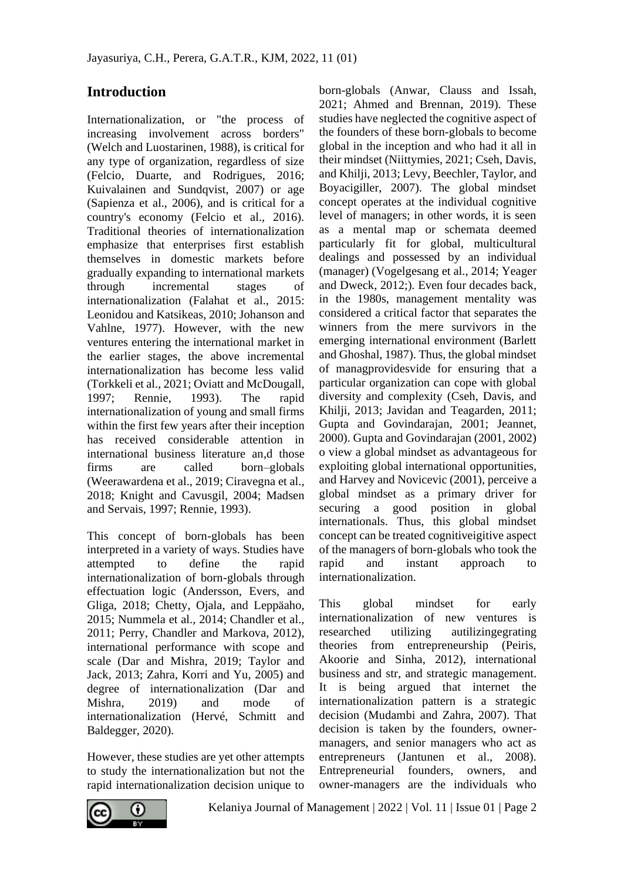## **Introduction**

Internationalization, or "the process of increasing involvement across borders" (Welch and Luostarinen, 1988), is critical for any type of organization, regardless of size (Felcio, Duarte, and Rodrigues, 2016; Kuivalainen and Sundqvist, 2007) or age (Sapienza et al., 2006), and is critical for a country's economy (Felcio et al., 2016). Traditional theories of internationalization emphasize that enterprises first establish themselves in domestic markets before gradually expanding to international markets through incremental stages of internationalization (Falahat et al., 2015: Leonidou and Katsikeas, 2010; Johanson and Vahlne, 1977). However, with the new ventures entering the international market in the earlier stages, the above incremental internationalization has become less valid (Torkkeli et al., 2021; Oviatt and McDougall, 1997; Rennie, 1993). The rapid internationalization of young and small firms within the first few years after their inception has received considerable attention in international business literature an,d those firms are called born–globals (Weerawardena et al., 2019; Ciravegna et al., 2018; Knight and Cavusgil, 2004; Madsen and Servais, 1997; Rennie, 1993).

This concept of born-globals has been interpreted in a variety of ways. Studies have attempted to define the rapid internationalization of born-globals through effectuation logic (Andersson, Evers, and Gliga, 2018; Chetty, Ojala, and Leppäaho, 2015; Nummela et al., 2014; Chandler et al., 2011; Perry, Chandler and Markova, 2012), international performance with scope and scale (Dar and Mishra, 2019; Taylor and Jack, 2013; Zahra, Korri and Yu, 2005) and degree of internationalization (Dar and Mishra, 2019) and mode of internationalization (Hervé, Schmitt and Baldegger, 2020).

However, these studies are yet other attempts to study the internationalization but not the rapid internationalization decision unique to born-globals (Anwar, Clauss and Issah, 2021; Ahmed and Brennan, 2019). These studies have neglected the cognitive aspect of the founders of these born-globals to become global in the inception and who had it all in their mindset (Niittymies, 2021; Cseh, Davis, and Khilji, 2013; Levy, Beechler, Taylor, and Boyacigiller, 2007). The global mindset concept operates at the individual cognitive level of managers; in other words, it is seen as a mental map or schemata deemed particularly fit for global, multicultural dealings and possessed by an individual (manager) (Vogelgesang et al., 2014; Yeager and Dweck, 2012;). Even four decades back, in the 1980s, management mentality was considered a critical factor that separates the winners from the mere survivors in the emerging international environment (Barlett and Ghoshal, 1987). Thus, the global mindset of managprovidesvide for ensuring that a particular organization can cope with global diversity and complexity (Cseh, Davis, and Khilji, 2013; Javidan and Teagarden, 2011; Gupta and Govindarajan, 2001; Jeannet, 2000). Gupta and Govindarajan (2001, 2002) o view a global mindset as advantageous for exploiting global international opportunities, and Harvey and Novicevic (2001), perceive a global mindset as a primary driver for securing a good position in global internationals. Thus, this global mindset concept can be treated cognitiveigitive aspect of the managers of born-globals who took the rapid and instant approach to internationalization.

This global mindset for early internationalization of new ventures is researched utilizing autilizingegrating theories from entrepreneurship (Peiris, Akoorie and Sinha, 2012), international business and str, and strategic management. It is being argued that internet the internationalization pattern is a strategic decision (Mudambi and Zahra, 2007). That decision is taken by the founders, ownermanagers, and senior managers who act as entrepreneurs (Jantunen et al., 2008). Entrepreneurial founders, owners, and owner-managers are the individuals who

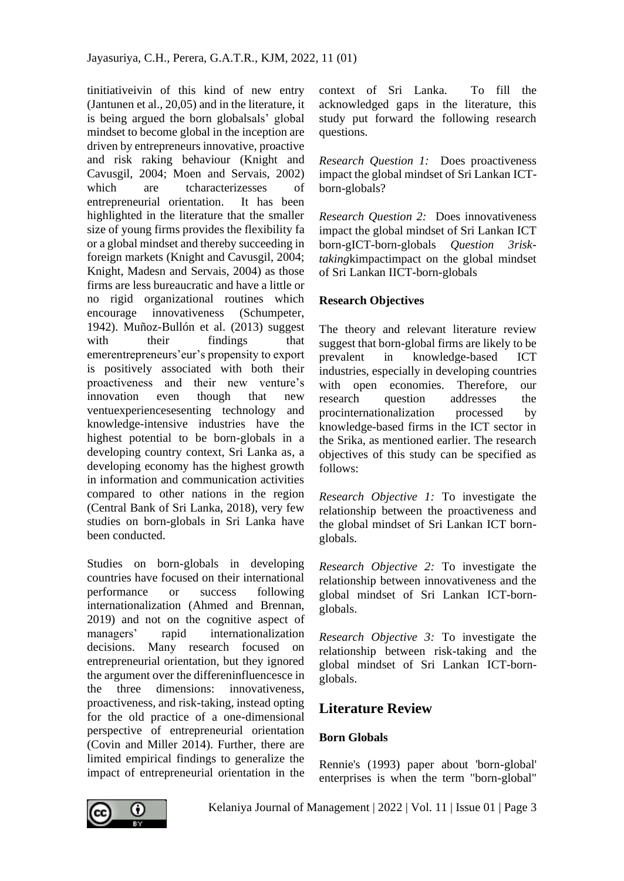tinitiativeivin of this kind of new entry (Jantunen et al., 20,05) and in the literature, it is being argued the born globalsals' global mindset to become global in the inception are driven by entrepreneurs innovative, proactive and risk raking behaviour (Knight and Cavusgil, 2004; Moen and Servais, 2002) which are tcharacterizesses of entrepreneurial orientation. It has been highlighted in the literature that the smaller size of young firms provides the flexibility fa or a global mindset and thereby succeeding in foreign markets (Knight and Cavusgil, 2004; Knight, Madesn and Servais, 2004) as those firms are less bureaucratic and have a little or no rigid organizational routines which encourage innovativeness (Schumpeter, 1942). Muñoz-Bullón et al. (2013) suggest with their findings that emerentrepreneurs'eur's propensity to export is positively associated with both their proactiveness and their new venture's innovation even though that new ventuexperiencesesenting technology and knowledge-intensive industries have the highest potential to be born-globals in a developing country context, Sri Lanka as, a developing economy has the highest growth in information and communication activities compared to other nations in the region (Central Bank of Sri Lanka, 2018), very few studies on born-globals in Sri Lanka have been conducted.

Studies on born-globals in developing countries have focused on their international performance or success following internationalization (Ahmed and Brennan, 2019) and not on the cognitive aspect of managers' rapid internationalization decisions. Many research focused on entrepreneurial orientation, but they ignored the argument over the differeninfluencesce in the three dimensions: innovativeness, proactiveness, and risk-taking, instead opting for the old practice of a one-dimensional perspective of entrepreneurial orientation (Covin and Miller 2014). Further, there are limited empirical findings to generalize the impact of entrepreneurial orientation in the

context of Sri Lanka. To fill the acknowledged gaps in the literature, this study put forward the following research questions.

*Research Question 1:* Does proactiveness impact the global mindset of Sri Lankan ICTborn-globals?

*Research Question 2:* Does innovativeness impact the global mindset of Sri Lankan ICT born-gICT-born-globals *Question 3risktaking*kimpactimpact on the global mindset of Sri Lankan IICT-born-globals

## **Research Objectives**

The theory and relevant literature review suggest that born-global firms are likely to be prevalent in knowledge-based ICT industries, especially in developing countries with open economies. Therefore, our research question addresses the procinternationalization processed by knowledge-based firms in the ICT sector in the Srika, as mentioned earlier. The research objectives of this study can be specified as follows:

*Research Objective 1:* To investigate the relationship between the proactiveness and the global mindset of Sri Lankan ICT bornglobals.

*Research Objective 2:* To investigate the relationship between innovativeness and the global mindset of Sri Lankan ICT-bornglobals.

*Research Objective 3:* To investigate the relationship between risk-taking and the global mindset of Sri Lankan ICT-bornglobals.

# **Literature Review**

## **Born Globals**

Rennie's (1993) paper about 'born-global' enterprises is when the term "born-global"

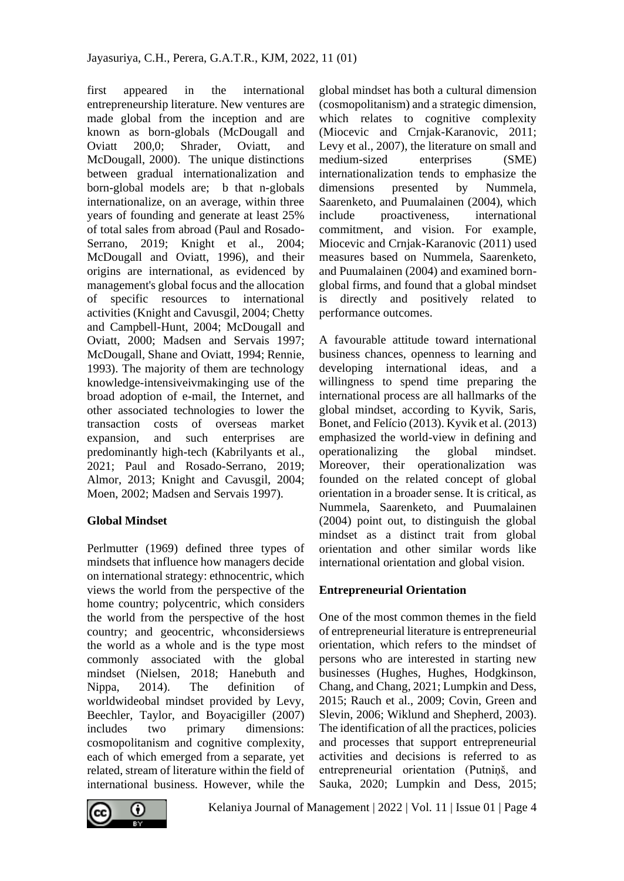first appeared in the international entrepreneurship literature. New ventures are made global from the inception and are known as born-globals (McDougall and Oviatt 200,0; Shrader, Oviatt, and McDougall, 2000). The unique distinctions between gradual internationalization and born-global models are; b that n-globals internationalize, on an average, within three years of founding and generate at least 25% of total sales from abroad (Paul and Rosado-Serrano, 2019; Knight et al., 2004; McDougall and Oviatt, 1996), and their origins are international, as evidenced by management's global focus and the allocation of specific resources to international activities (Knight and Cavusgil, 2004; Chetty and Campbell-Hunt, 2004; McDougall and Oviatt, 2000; Madsen and Servais 1997; McDougall, Shane and Oviatt, 1994; Rennie, 1993). The majority of them are technology knowledge-intensiveivmakinging use of the broad adoption of e-mail, the Internet, and other associated technologies to lower the transaction costs of overseas market expansion, and such enterprises are predominantly high-tech (Kabrilyants et al., 2021; Paul and Rosado-Serrano, 2019; Almor, 2013; Knight and Cavusgil, 2004; Moen, 2002; Madsen and Servais 1997).

## **Global Mindset**

Perlmutter (1969) defined three types of mindsets that influence how managers decide on international strategy: ethnocentric, which views the world from the perspective of the home country; polycentric, which considers the world from the perspective of the host country; and geocentric, whconsidersiews the world as a whole and is the type most commonly associated with the global mindset (Nielsen, 2018; Hanebuth and Nippa, 2014). The definition of worldwideobal mindset provided by Levy, Beechler, Taylor, and Boyacigiller (2007) includes two primary dimensions: cosmopolitanism and cognitive complexity, each of which emerged from a separate, yet related, stream of literature within the field of international business. However, while the



global mindset has both a cultural dimension (cosmopolitanism) and a strategic dimension, which relates to cognitive complexity (Miocevic and Crnjak-Karanovic, 2011; Levy et al., 2007), the literature on small and medium-sized enterprises (SME) internationalization tends to emphasize the dimensions presented by Nummela, Saarenketo, and Puumalainen (2004), which include proactiveness, international commitment, and vision. For example, Miocevic and Crnjak-Karanovic (2011) used measures based on Nummela, Saarenketo, and Puumalainen (2004) and examined bornglobal firms, and found that a global mindset is directly and positively related to performance outcomes.

A favourable attitude toward international business chances, openness to learning and developing international ideas, and a willingness to spend time preparing the international process are all hallmarks of the global mindset, according to Kyvik, Saris, Bonet, and Felício (2013). Kyvik et al. (2013) emphasized the world-view in defining and operationalizing the global mindset. Moreover, their operationalization was founded on the related concept of global orientation in a broader sense. It is critical, as Nummela, Saarenketo, and Puumalainen (2004) point out, to distinguish the global mindset as a distinct trait from global orientation and other similar words like international orientation and global vision.

## **Entrepreneurial Orientation**

One of the most common themes in the field of entrepreneurial literature is entrepreneurial orientation, which refers to the mindset of persons who are interested in starting new businesses (Hughes, Hughes, Hodgkinson, Chang, and Chang, 2021; Lumpkin and Dess, 2015; Rauch et al., 2009; Covin, Green and Slevin, 2006; Wiklund and Shepherd, 2003). The identification of all the practices, policies and processes that support entrepreneurial activities and decisions is referred to as entrepreneurial orientation (Putniņš, and Sauka, 2020; Lumpkin and Dess, 2015;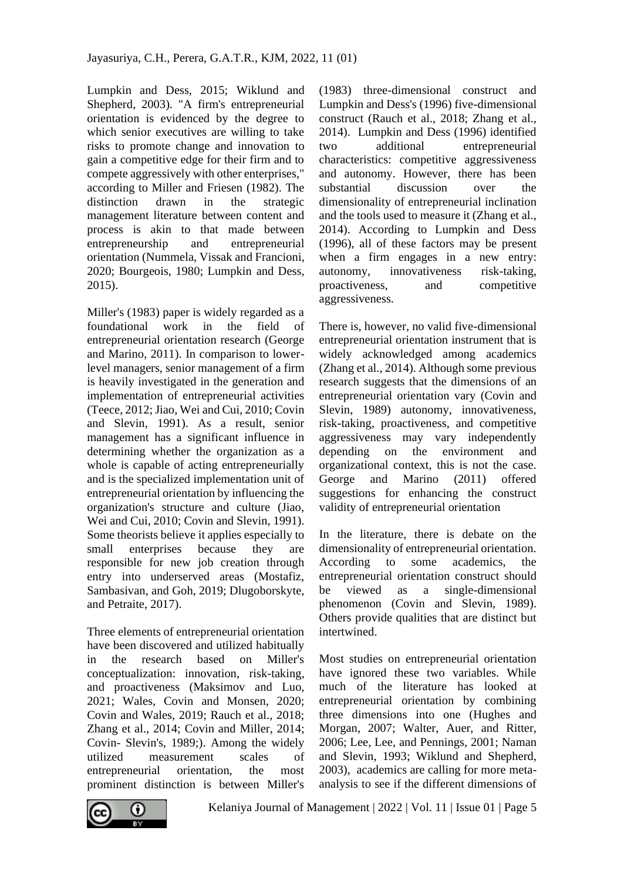Lumpkin and Dess, 2015; Wiklund and Shepherd, 2003). "A firm's entrepreneurial orientation is evidenced by the degree to which senior executives are willing to take risks to promote change and innovation to gain a competitive edge for their firm and to compete aggressively with other enterprises," according to Miller and Friesen (1982). The distinction drawn in the strategic management literature between content and process is akin to that made between entrepreneurship and entrepreneurial orientation (Nummela, Vissak and Francioni, 2020; Bourgeois, 1980; Lumpkin and Dess, 2015).

Miller's (1983) paper is widely regarded as a foundational work in the field of entrepreneurial orientation research (George and Marino, 2011). In comparison to lowerlevel managers, senior management of a firm is heavily investigated in the generation and implementation of entrepreneurial activities (Teece, 2012; Jiao, Wei and Cui, 2010; Covin and Slevin, 1991). As a result, senior management has a significant influence in determining whether the organization as a whole is capable of acting entrepreneurially and is the specialized implementation unit of entrepreneurial orientation by influencing the organization's structure and culture (Jiao, Wei and Cui, 2010; Covin and Slevin, 1991). Some theorists believe it applies especially to small enterprises because they are responsible for new job creation through entry into underserved areas (Mostafiz, Sambasivan, and Goh, 2019; Dlugoborskyte, and Petraite, 2017).

Three elements of entrepreneurial orientation have been discovered and utilized habitually in the research based on Miller's conceptualization: innovation, risk-taking, and proactiveness (Maksimov and Luo, 2021; Wales, Covin and Monsen, 2020; Covin and Wales, 2019; Rauch et al., 2018; Zhang et al., 2014; Covin and Miller, 2014; Covin- Slevin's, 1989;). Among the widely utilized measurement scales of entrepreneurial orientation, the most prominent distinction is between Miller's

(1983) three-dimensional construct and Lumpkin and Dess's (1996) five-dimensional construct (Rauch et al., 2018; Zhang et al., 2014). Lumpkin and Dess (1996) identified two additional entrepreneurial characteristics: competitive aggressiveness and autonomy. However, there has been substantial discussion over the dimensionality of entrepreneurial inclination and the tools used to measure it (Zhang et al., 2014). According to Lumpkin and Dess (1996), all of these factors may be present when a firm engages in a new entry: autonomy, innovativeness risk-taking, proactiveness, and competitive aggressiveness.

There is, however, no valid five-dimensional entrepreneurial orientation instrument that is widely acknowledged among academics (Zhang et al., 2014). Although some previous research suggests that the dimensions of an entrepreneurial orientation vary (Covin and Slevin, 1989) autonomy, innovativeness, risk-taking, proactiveness, and competitive aggressiveness may vary independently depending on the environment and organizational context, this is not the case. George and Marino (2011) offered suggestions for enhancing the construct validity of entrepreneurial orientation

In the literature, there is debate on the dimensionality of entrepreneurial orientation. According to some academics, the entrepreneurial orientation construct should be viewed as a single-dimensional phenomenon (Covin and Slevin, 1989). Others provide qualities that are distinct but intertwined.

Most studies on entrepreneurial orientation have ignored these two variables. While much of the literature has looked at entrepreneurial orientation by combining three dimensions into one (Hughes and Morgan, 2007; Walter, Auer, and Ritter, 2006; Lee, Lee, and Pennings, 2001; Naman and Slevin, 1993; Wiklund and Shepherd, 2003), academics are calling for more metaanalysis to see if the different dimensions of

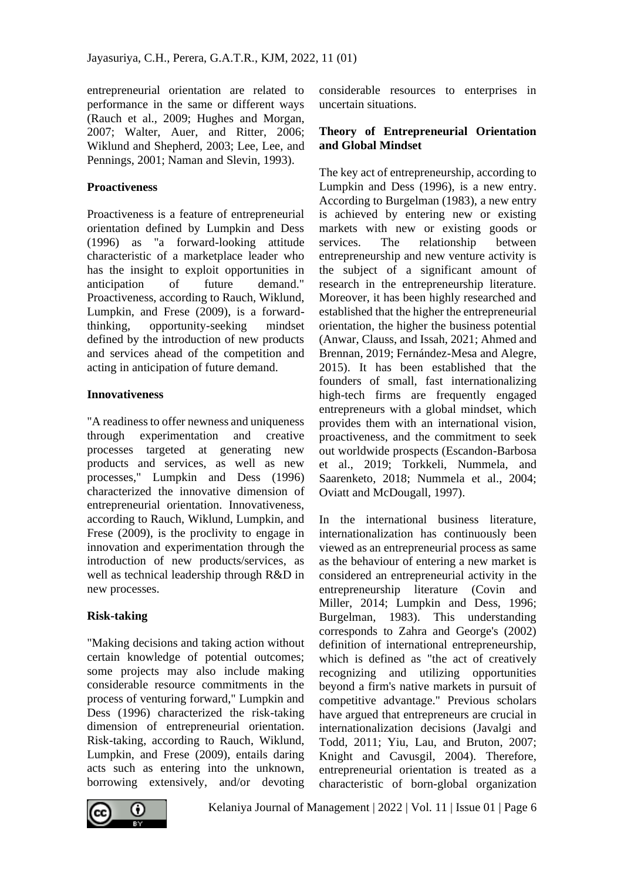entrepreneurial orientation are related to performance in the same or different ways (Rauch et al., 2009; Hughes and Morgan, 2007; Walter, Auer, and Ritter, 2006; Wiklund and Shepherd, 2003; Lee, Lee, and Pennings, 2001; Naman and Slevin, 1993).

## **Proactiveness**

Proactiveness is a feature of entrepreneurial orientation defined by Lumpkin and Dess (1996) as "a forward-looking attitude characteristic of a marketplace leader who has the insight to exploit opportunities in anticipation of future demand." Proactiveness, according to Rauch, Wiklund, Lumpkin, and Frese (2009), is a forwardthinking, opportunity-seeking mindset defined by the introduction of new products and services ahead of the competition and acting in anticipation of future demand.

### **Innovativeness**

"A readiness to offer newness and uniqueness through experimentation and creative processes targeted at generating new products and services, as well as new processes," Lumpkin and Dess (1996) characterized the innovative dimension of entrepreneurial orientation. Innovativeness, according to Rauch, Wiklund, Lumpkin, and Frese (2009), is the proclivity to engage in innovation and experimentation through the introduction of new products/services, as well as technical leadership through R&D in new processes.

## **Risk-taking**

"Making decisions and taking action without certain knowledge of potential outcomes; some projects may also include making considerable resource commitments in the process of venturing forward," Lumpkin and Dess (1996) characterized the risk-taking dimension of entrepreneurial orientation. Risk-taking, according to Rauch, Wiklund, Lumpkin, and Frese (2009), entails daring acts such as entering into the unknown, borrowing extensively, and/or devoting considerable resources to enterprises in uncertain situations.

## **Theory of Entrepreneurial Orientation and Global Mindset**

The key act of entrepreneurship, according to Lumpkin and Dess (1996), is a new entry. According to Burgelman (1983), a new entry is achieved by entering new or existing markets with new or existing goods or services. The relationship between entrepreneurship and new venture activity is the subject of a significant amount of research in the entrepreneurship literature. Moreover, it has been highly researched and established that the higher the entrepreneurial orientation, the higher the business potential (Anwar, Clauss, and Issah, 2021; Ahmed and Brennan, 2019; Fernández-Mesa and Alegre, 2015). It has been established that the founders of small, fast internationalizing high-tech firms are frequently engaged entrepreneurs with a global mindset, which provides them with an international vision, proactiveness, and the commitment to seek out worldwide prospects (Escandon-Barbosa et al., 2019; Torkkeli, Nummela, and Saarenketo, 2018; Nummela et al., 2004; Oviatt and McDougall, 1997).

In the international business literature, internationalization has continuously been viewed as an entrepreneurial process as same as the behaviour of entering a new market is considered an entrepreneurial activity in the entrepreneurship literature (Covin and Miller, 2014; Lumpkin and Dess, 1996; Burgelman, 1983). This understanding corresponds to Zahra and George's (2002) definition of international entrepreneurship, which is defined as "the act of creatively recognizing and utilizing opportunities beyond a firm's native markets in pursuit of competitive advantage." Previous scholars have argued that entrepreneurs are crucial in internationalization decisions (Javalgi and Todd, 2011; Yiu, Lau, and Bruton, 2007; Knight and Cavusgil, 2004). Therefore, entrepreneurial orientation is treated as a characteristic of born-global organization

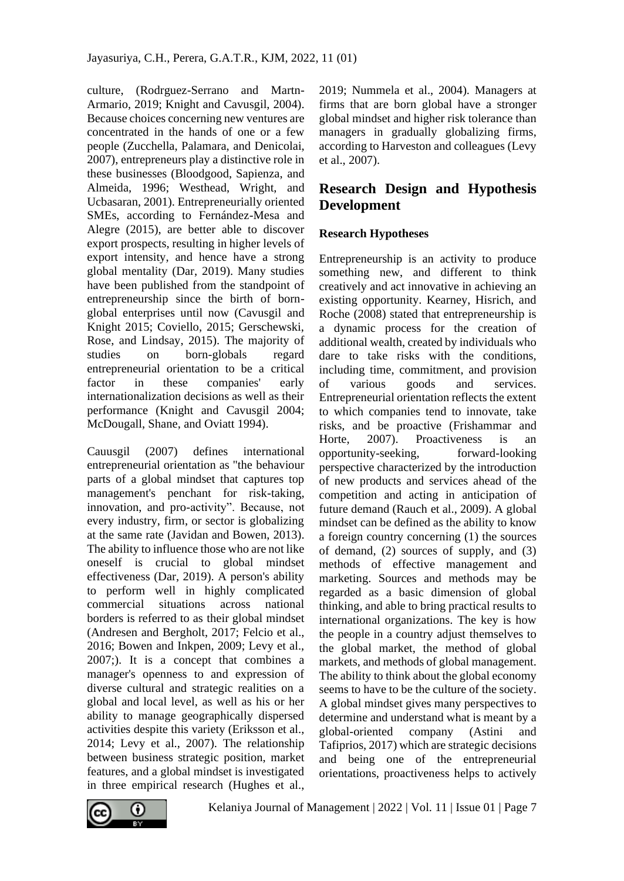culture, (Rodrguez-Serrano and Martn-Armario, 2019; Knight and Cavusgil, 2004). Because choices concerning new ventures are concentrated in the hands of one or a few people (Zucchella, Palamara, and Denicolai, 2007), entrepreneurs play a distinctive role in these businesses (Bloodgood, Sapienza, and Almeida, 1996; Westhead, Wright, and Ucbasaran, 2001). Entrepreneurially oriented SMEs, according to Fernández-Mesa and Alegre (2015), are better able to discover export prospects, resulting in higher levels of export intensity, and hence have a strong global mentality (Dar, 2019). Many studies have been published from the standpoint of entrepreneurship since the birth of bornglobal enterprises until now (Cavusgil and Knight 2015; Coviello, 2015; Gerschewski, Rose, and Lindsay, 2015). The majority of studies on born-globals regard entrepreneurial orientation to be a critical factor in these companies' early internationalization decisions as well as their performance (Knight and Cavusgil 2004; McDougall, Shane, and Oviatt 1994).

Cauusgil (2007) defines international entrepreneurial orientation as "the behaviour parts of a global mindset that captures top management's penchant for risk-taking, innovation, and pro-activity". Because, not every industry, firm, or sector is globalizing at the same rate (Javidan and Bowen, 2013). The ability to influence those who are not like oneself is crucial to global mindset effectiveness (Dar, 2019). A person's ability to perform well in highly complicated commercial situations across national borders is referred to as their global mindset (Andresen and Bergholt, 2017; Felcio et al., 2016; Bowen and Inkpen, 2009; Levy et al., 2007;). It is a concept that combines a manager's openness to and expression of diverse cultural and strategic realities on a global and local level, as well as his or her ability to manage geographically dispersed activities despite this variety (Eriksson et al., 2014; Levy et al., 2007). The relationship between business strategic position, market features, and a global mindset is investigated in three empirical research (Hughes et al.,

2019; Nummela et al., 2004). Managers at firms that are born global have a stronger global mindset and higher risk tolerance than managers in gradually globalizing firms, according to Harveston and colleagues (Levy et al., 2007).

## **Research Design and Hypothesis Development**

### **Research Hypotheses**

Entrepreneurship is an activity to produce something new, and different to think creatively and act innovative in achieving an existing opportunity. Kearney, Hisrich, and Roche (2008) stated that entrepreneurship is a dynamic process for the creation of additional wealth, created by individuals who dare to take risks with the conditions, including time, commitment, and provision of various goods and services. Entrepreneurial orientation reflects the extent to which companies tend to innovate, take risks, and be proactive (Frishammar and Horte, 2007). Proactiveness is an opportunity-seeking, forward-looking perspective characterized by the introduction of new products and services ahead of the competition and acting in anticipation of future demand (Rauch et al., 2009). A global mindset can be defined as the ability to know a foreign country concerning (1) the sources of demand, (2) sources of supply, and (3) methods of effective management and marketing. Sources and methods may be regarded as a basic dimension of global thinking, and able to bring practical results to international organizations. The key is how the people in a country adjust themselves to the global market, the method of global markets, and methods of global management. The ability to think about the global economy seems to have to be the culture of the society. A global mindset gives many perspectives to determine and understand what is meant by a global-oriented company (Astini and Tafiprios, 2017) which are strategic decisions and being one of the entrepreneurial orientations, proactiveness helps to actively

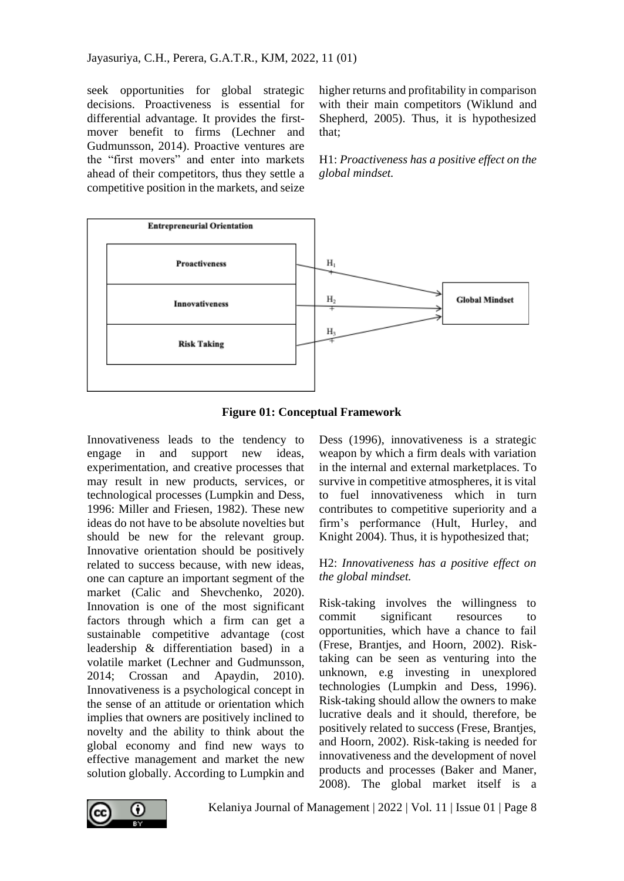seek opportunities for global strategic decisions. Proactiveness is essential for differential advantage. It provides the firstmover benefit to firms (Lechner and Gudmunsson, 2014). Proactive ventures are the "first movers" and enter into markets ahead of their competitors, thus they settle a competitive position in the markets, and seize

higher returns and profitability in comparison with their main competitors (Wiklund and Shepherd, 2005). Thus, it is hypothesized that;

H1: *Proactiveness has a positive effect on the global mindset.*



**Figure 01: Conceptual Framework**

Innovativeness leads to the tendency to engage in and support new ideas, experimentation, and creative processes that may result in new products, services, or technological processes (Lumpkin and Dess, 1996: Miller and Friesen, 1982). These new ideas do not have to be absolute novelties but should be new for the relevant group. Innovative orientation should be positively related to success because, with new ideas, one can capture an important segment of the market (Calic and Shevchenko, 2020). Innovation is one of the most significant factors through which a firm can get a sustainable competitive advantage (cost leadership & differentiation based) in a volatile market (Lechner and Gudmunsson, 2014; Crossan and Apaydin, 2010). Innovativeness is a psychological concept in the sense of an attitude or orientation which implies that owners are positively inclined to novelty and the ability to think about the global economy and find new ways to effective management and market the new solution globally. According to Lumpkin and

Dess (1996), innovativeness is a strategic weapon by which a firm deals with variation in the internal and external marketplaces. To survive in competitive atmospheres, it is vital to fuel innovativeness which in turn contributes to competitive superiority and a firm's performance (Hult, Hurley, and Knight 2004). Thus, it is hypothesized that;

## H2: *Innovativeness has a positive effect on the global mindset.*

Risk-taking involves the willingness to commit significant resources to opportunities, which have a chance to fail (Frese, Brantjes, and Hoorn, 2002). Risktaking can be seen as venturing into the unknown, e.g investing in unexplored technologies (Lumpkin and Dess, 1996). Risk-taking should allow the owners to make lucrative deals and it should, therefore, be positively related to success (Frese, Brantjes, and Hoorn, 2002). Risk-taking is needed for innovativeness and the development of novel products and processes (Baker and Maner, 2008). The global market itself is a

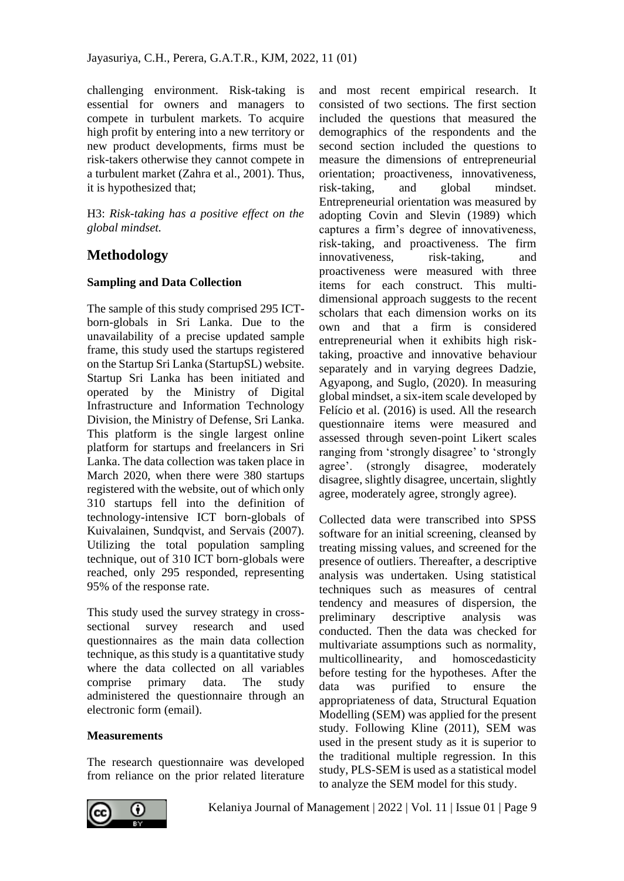challenging environment. Risk-taking is essential for owners and managers to compete in turbulent markets. To acquire high profit by entering into a new territory or new product developments, firms must be risk-takers otherwise they cannot compete in a turbulent market (Zahra et al., 2001). Thus, it is hypothesized that;

H3: *Risk-taking has a positive effect on the global mindset.*

# **Methodology**

## **Sampling and Data Collection**

The sample of this study comprised 295 ICTborn-globals in Sri Lanka. Due to the unavailability of a precise updated sample frame, this study used the startups registered on the Startup Sri Lanka (StartupSL) website. Startup Sri Lanka has been initiated and operated by the Ministry of Digital Infrastructure and Information Technology Division, the Ministry of Defense, Sri Lanka. This platform is the single largest online platform for startups and freelancers in Sri Lanka. The data collection was taken place in March 2020, when there were 380 startups registered with the website, out of which only 310 startups fell into the definition of technology-intensive ICT born-globals of Kuivalainen, Sundqvist, and Servais (2007). Utilizing the total population sampling technique, out of 310 ICT born-globals were reached, only 295 responded, representing 95% of the response rate.

This study used the survey strategy in crosssectional survey research and used questionnaires as the main data collection technique, as this study is a quantitative study where the data collected on all variables comprise primary data. The study administered the questionnaire through an electronic form (email).

## **Measurements**

The research questionnaire was developed from reliance on the prior related literature and most recent empirical research. It consisted of two sections. The first section included the questions that measured the demographics of the respondents and the second section included the questions to measure the dimensions of entrepreneurial orientation; proactiveness, innovativeness, risk-taking, and global mindset. Entrepreneurial orientation was measured by adopting Covin and Slevin (1989) which captures a firm's degree of innovativeness, risk-taking, and proactiveness. The firm innovativeness, risk-taking, and proactiveness were measured with three items for each construct. This multidimensional approach suggests to the recent scholars that each dimension works on its own and that a firm is considered entrepreneurial when it exhibits high risktaking, proactive and innovative behaviour separately and in varying degrees Dadzie, Agyapong, and Suglo, (2020). In measuring global mindset, a six-item scale developed by Felício et al. (2016) is used. All the research questionnaire items were measured and assessed through seven-point Likert scales ranging from 'strongly disagree' to 'strongly agree'. (strongly disagree, moderately disagree, slightly disagree, uncertain, slightly agree, moderately agree, strongly agree).

Collected data were transcribed into SPSS software for an initial screening, cleansed by treating missing values, and screened for the presence of outliers. Thereafter, a descriptive analysis was undertaken. Using statistical techniques such as measures of central tendency and measures of dispersion, the preliminary descriptive analysis was conducted. Then the data was checked for multivariate assumptions such as normality, multicollinearity, and homoscedasticity before testing for the hypotheses. After the data was purified to ensure the appropriateness of data, Structural Equation Modelling (SEM) was applied for the present study. Following Kline (2011), SEM was used in the present study as it is superior to the traditional multiple regression. In this study, PLS-SEM is used as a statistical model to analyze the SEM model for this study.

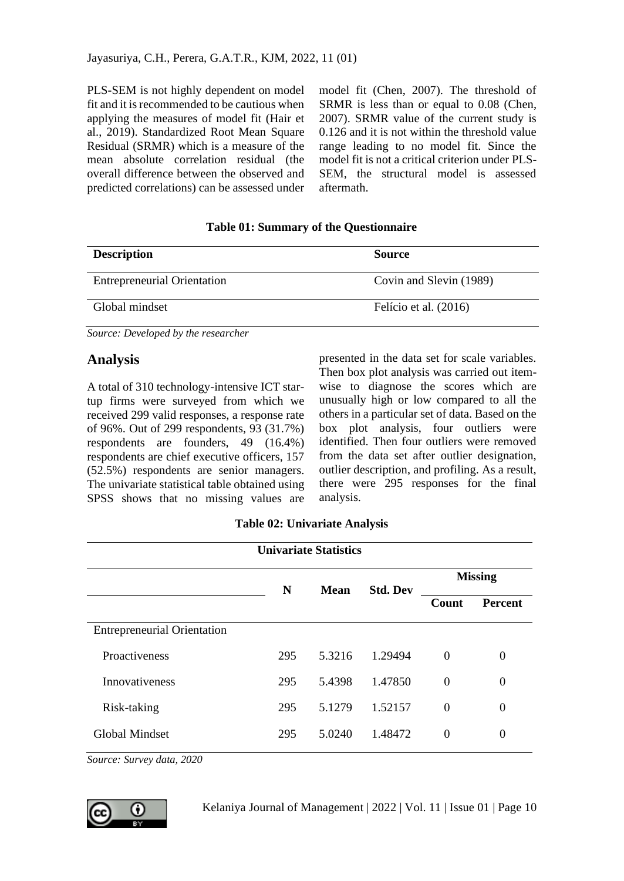PLS-SEM is not highly dependent on model fit and it is recommended to be cautious when applying the measures of model fit (Hair et al., 2019). Standardized Root Mean Square Residual (SRMR) which is a measure of the mean absolute correlation residual (the overall difference between the observed and predicted correlations) can be assessed under model fit (Chen, 2007). The threshold of SRMR is less than or equal to 0.08 (Chen, 2007). SRMR value of the current study is 0.126 and it is not within the threshold value range leading to no model fit. Since the model fit is not a critical criterion under PLS-SEM, the structural model is assessed aftermath.

| <b>Description</b>                 | <b>Source</b>           |
|------------------------------------|-------------------------|
| <b>Entrepreneurial Orientation</b> | Covin and Slevin (1989) |
| Global mindset                     | Felício et al. (2016)   |

### **Table 01: Summary of the Questionnaire**

*Source: Developed by the researcher*

## **Analysis**

A total of 310 technology-intensive ICT startup firms were surveyed from which we received 299 valid responses, a response rate of 96%. Out of 299 respondents, 93 (31.7%) respondents are founders, 49 (16.4%) respondents are chief executive officers, 157 (52.5%) respondents are senior managers. The univariate statistical table obtained using SPSS shows that no missing values are presented in the data set for scale variables. Then box plot analysis was carried out itemwise to diagnose the scores which are unusually high or low compared to all the others in a particular set of data. Based on the box plot analysis, four outliers were identified. Then four outliers were removed from the data set after outlier designation, outlier description, and profiling. As a result, there were 295 responses for the final analysis.

## **Table 02: Univariate Analysis**

| <b>Univariate Statistics</b>       |     |             |                 |                |                |  |
|------------------------------------|-----|-------------|-----------------|----------------|----------------|--|
|                                    | N   | <b>Mean</b> |                 | <b>Missing</b> |                |  |
|                                    |     |             | <b>Std. Dev</b> | Count          | <b>Percent</b> |  |
| <b>Entrepreneurial Orientation</b> |     |             |                 |                |                |  |
| Proactiveness                      | 295 | 5.3216      | 1.29494         | $\Omega$       | $\theta$       |  |
| <b>Innovativeness</b>              | 295 | 5.4398      | 1.47850         | $\theta$       | $\theta$       |  |
| Risk-taking                        | 295 | 5.1279      | 1.52157         | $\theta$       | $\Omega$       |  |
| <b>Global Mindset</b>              | 295 | 5.0240      | 1.48472         | $\Omega$       | $\theta$       |  |
|                                    |     |             |                 |                |                |  |

*Source: Survey data, 2020*

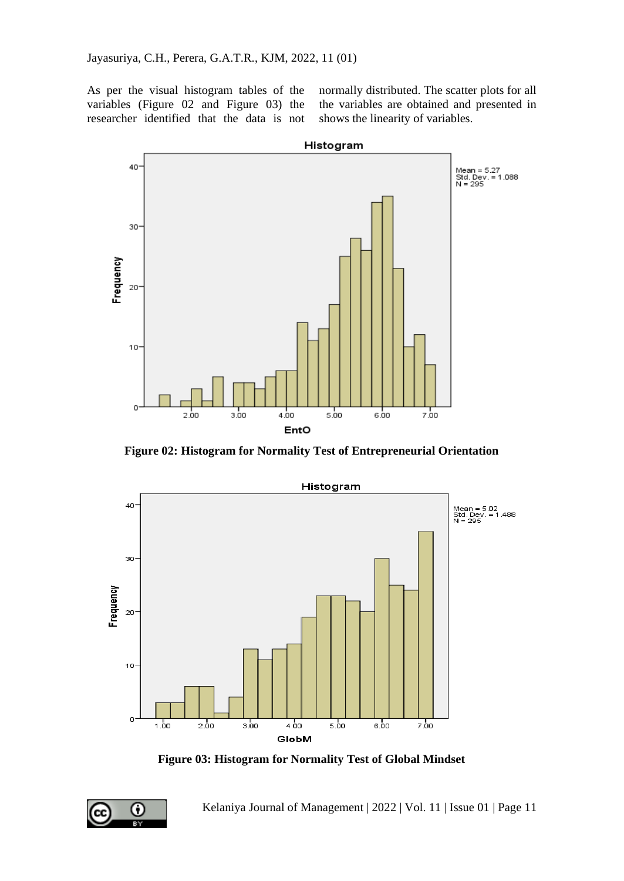As per the visual histogram tables of the variables (Figure 02 and Figure 03) the researcher identified that the data is not

normally distributed. The scatter plots for all the variables are obtained and presented in shows the linearity of variables.



**Figure 02: Histogram for Normality Test of Entrepreneurial Orientation** 



**Figure 03: Histogram for Normality Test of Global Mindset**

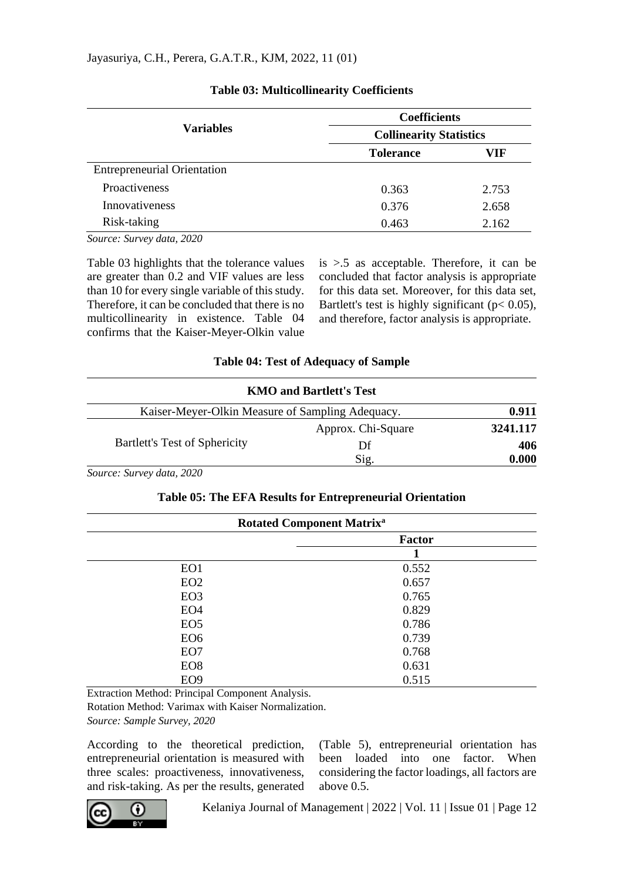|                                    | <b>Coefficients</b><br><b>Collinearity Statistics</b> |       |  |  |
|------------------------------------|-------------------------------------------------------|-------|--|--|
| <b>Variables</b>                   |                                                       |       |  |  |
|                                    | <b>Tolerance</b>                                      | VIF   |  |  |
| <b>Entrepreneurial Orientation</b> |                                                       |       |  |  |
| Proactiveness                      | 0.363                                                 | 2.753 |  |  |
| <b>Innovativeness</b>              | 0.376                                                 | 2.658 |  |  |
| Risk-taking                        | 0.463                                                 | 2.162 |  |  |

## **Table 03: Multicollinearity Coefficients**

*Source: Survey data, 2020*

Table 03 highlights that the tolerance values are greater than 0.2 and VIF values are less than 10 for every single variable of this study. Therefore, it can be concluded that there is no multicollinearity in existence. Table 04 confirms that the Kaiser-Meyer-Olkin value

is >.5 as acceptable. Therefore, it can be concluded that factor analysis is appropriate for this data set. Moreover, for this data set, Bartlett's test is highly significant ( $p < 0.05$ ), and therefore, factor analysis is appropriate.

| <b>Table 04: Test of Adequacy of Sample</b> |  |  |  |  |
|---------------------------------------------|--|--|--|--|
|---------------------------------------------|--|--|--|--|

| <b>KMO and Bartlett's Test</b>                   |                    |          |
|--------------------------------------------------|--------------------|----------|
| Kaiser-Meyer-Olkin Measure of Sampling Adequacy. |                    | 0.911    |
|                                                  | Approx. Chi-Square | 3241.117 |
| Bartlett's Test of Sphericity                    | Df                 | 406      |
|                                                  | Sig.               | 0.000    |

*Source: Survey data, 2020*

## **Table 05: The EFA Results for Entrepreneurial Orientation**

| <b>Rotated Component Matrix<sup>a</sup></b> |               |  |  |
|---------------------------------------------|---------------|--|--|
|                                             | <b>Factor</b> |  |  |
|                                             |               |  |  |
| EO1                                         | 0.552         |  |  |
| EO <sub>2</sub>                             | 0.657         |  |  |
| EO <sub>3</sub>                             | 0.765         |  |  |
| EO <sub>4</sub>                             | 0.829         |  |  |
| EO <sub>5</sub>                             | 0.786         |  |  |
| EO <sub>6</sub>                             | 0.739         |  |  |
| EO7                                         | 0.768         |  |  |
| EO <sub>8</sub>                             | 0.631         |  |  |
| EO <sub>9</sub>                             | 0.515         |  |  |

Extraction Method: Principal Component Analysis.

Rotation Method: Varimax with Kaiser Normalization.

*Source: Sample Survey, 2020*

According to the theoretical prediction, entrepreneurial orientation is measured with three scales: proactiveness, innovativeness, and risk-taking. As per the results, generated (Table 5), entrepreneurial orientation has been loaded into one factor. When considering the factor loadings, all factors are above 0.5.

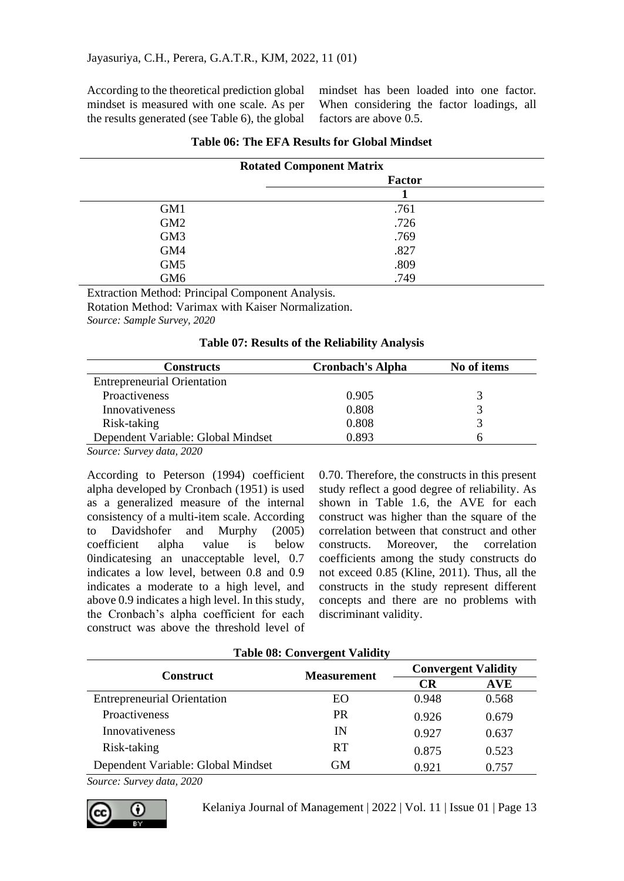According to the theoretical prediction global mindset is measured with one scale. As per the results generated (see Table 6), the global

mindset has been loaded into one factor. When considering the factor loadings, all factors are above 0.5.

| <b>Rotated Component Matrix</b> |        |  |
|---------------------------------|--------|--|
|                                 | Factor |  |
|                                 |        |  |
| GM1                             | .761   |  |
| GM <sub>2</sub>                 | .726   |  |
| GM <sub>3</sub>                 | .769   |  |
| GM4                             | .827   |  |
| GM <sub>5</sub>                 | .809   |  |
| GM <sub>6</sub>                 | .749   |  |
|                                 |        |  |

|  |  |  | Table 06: The EFA Results for Global Mindset |
|--|--|--|----------------------------------------------|
|--|--|--|----------------------------------------------|

Extraction Method: Principal Component Analysis.

Rotation Method: Varimax with Kaiser Normalization.

*Source: Sample Survey, 2020*

#### **Table 07: Results of the Reliability Analysis**

| <b>Cronbach's Alpha</b> | No of items |
|-------------------------|-------------|
|                         |             |
| 0.905                   |             |
| 0.808                   |             |
| 0.808                   |             |
| 0.893                   |             |
|                         |             |

*Source: Survey data, 2020*

According to Peterson (1994) coefficient alpha developed by Cronbach (1951) is used as a generalized measure of the internal consistency of a multi-item scale. According to Davidshofer and Murphy (2005) coefficient alpha value is below 0indicatesing an unacceptable level, 0.7 indicates a low level, between 0.8 and 0.9 indicates a moderate to a high level, and above 0.9 indicates a high level. In this study, the Cronbach's alpha coefficient for each construct was above the threshold level of

0.70. Therefore, the constructs in this present study reflect a good degree of reliability. As shown in Table 1.6, the AVE for each construct was higher than the square of the correlation between that construct and other constructs. Moreover, the correlation coefficients among the study constructs do not exceed 0.85 (Kline, 2011). Thus, all the constructs in the study represent different concepts and there are no problems with discriminant validity.

| Tapie vo: Convergent vanuity       |                    |       |                            |  |  |  |
|------------------------------------|--------------------|-------|----------------------------|--|--|--|
| <b>Construct</b>                   | <b>Measurement</b> |       | <b>Convergent Validity</b> |  |  |  |
|                                    |                    | CR    | <b>AVE</b>                 |  |  |  |
| <b>Entrepreneurial Orientation</b> | EΟ.                | 0.948 | 0.568                      |  |  |  |
| Proactiveness                      | <b>PR</b>          | 0.926 | 0.679                      |  |  |  |
| <b>Innovativeness</b>              | IN                 | 0.927 | 0.637                      |  |  |  |
| Risk-taking                        | <b>RT</b>          | 0.875 | 0.523                      |  |  |  |
| Dependent Variable: Global Mindset | <b>GM</b>          | 0.921 | 0.757                      |  |  |  |
|                                    |                    |       |                            |  |  |  |

**Table 08: Convergent Validity**

*Source: Survey data, 2020*

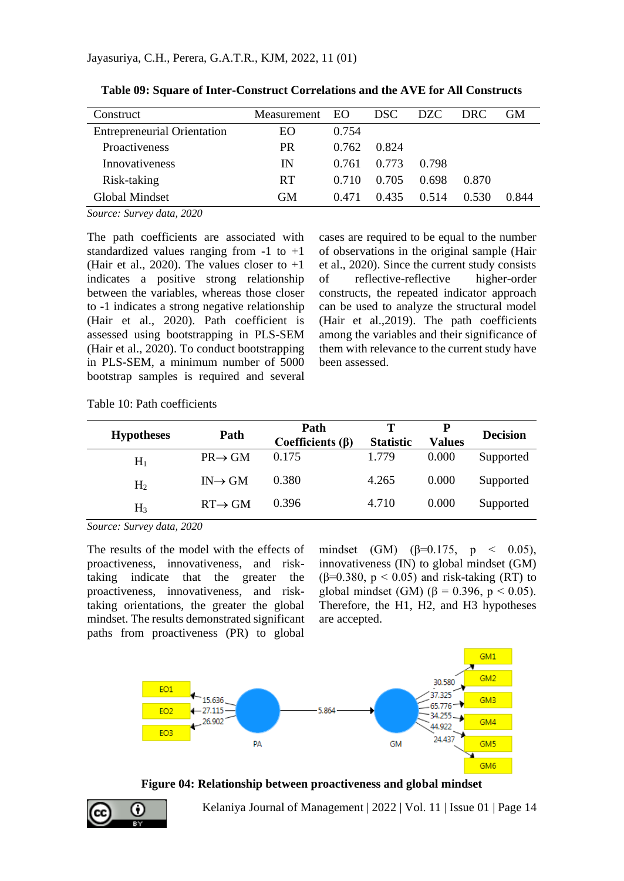| Construct                          | Measurement EO |       | DSC.  | DZC.  | DRC.  | GM    |
|------------------------------------|----------------|-------|-------|-------|-------|-------|
| <b>Entrepreneurial Orientation</b> | EО             | 0.754 |       |       |       |       |
| <b>Proactiveness</b>               | <b>PR</b>      | 0.762 | 0.824 |       |       |       |
| <b>Innovativeness</b>              | IN             | 0.761 | 0.773 | 0.798 |       |       |
| Risk-taking                        | <b>RT</b>      | 0.710 | 0.705 | 0.698 | 0.870 |       |
| Global Mindset                     | GМ             | 0.471 | 0.435 | 0.514 | 0.530 | 0.844 |

**Table 09: Square of Inter-Construct Correlations and the AVE for All Constructs**

*Source: Survey data, 2020*

The path coefficients are associated with standardized values ranging from  $-1$  to  $+1$ (Hair et al., 2020). The values closer to  $+1$ indicates a positive strong relationship between the variables, whereas those closer to -1 indicates a strong negative relationship (Hair et al., 2020). Path coefficient is assessed using bootstrapping in PLS-SEM (Hair et al., 2020). To conduct bootstrapping in PLS-SEM, a minimum number of 5000 bootstrap samples is required and several cases are required to be equal to the number of observations in the original sample (Hair et al., 2020). Since the current study consists of reflective-reflective higher-order constructs, the repeated indicator approach can be used to analyze the structural model (Hair et al.,2019). The path coefficients among the variables and their significance of them with relevance to the current study have been assessed.

| <b>Hypotheses</b> | Path                | Path<br>Coefficients $(\beta)$ | <b>Statistic</b> | <b>Values</b> | <b>Decision</b> |
|-------------------|---------------------|--------------------------------|------------------|---------------|-----------------|
| $H_1$             | $PR \rightarrow GM$ | 0.175                          | 1.779            | 0.000         | Supported       |
| H <sub>2</sub>    | $IN \rightarrow GM$ | 0.380                          | 4.265            | 0.000         | Supported       |
| $H_3$             | $RT \rightarrow GM$ | 0.396                          | 4.710            | 0.000         | Supported       |

*Source: Survey data, 2020*

The results of the model with the effects of proactiveness, innovativeness, and risktaking indicate that the greater the proactiveness, innovativeness, and risktaking orientations, the greater the global mindset. The results demonstrated significant paths from proactiveness (PR) to global

mindset (GM) ( $\beta$ =0.175, p < 0.05), innovativeness (IN) to global mindset (GM) ( $\beta$ =0.380,  $p$  < 0.05) and risk-taking (RT) to global mindset (GM) (β = 0.396, p < 0.05). Therefore, the H1, H2, and H3 hypotheses are accepted.



**Figure 04: Relationship between proactiveness and global mindset**

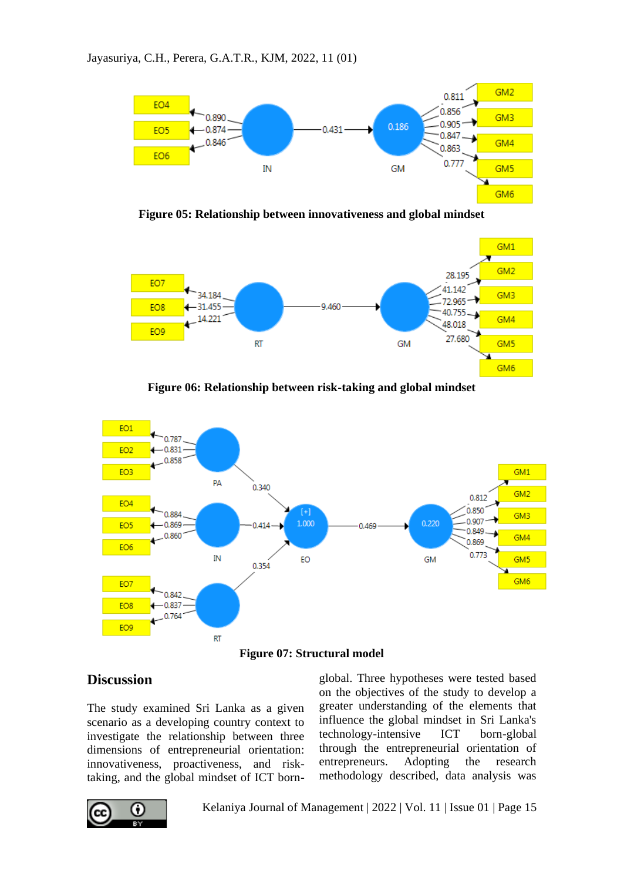

**Figure 05: Relationship between innovativeness and global mindset**



**Figure 06: Relationship between risk-taking and global mindset**



**Figure 07: Structural model**

# **Discussion**

The study examined Sri Lanka as a given scenario as a developing country context to investigate the relationship between three dimensions of entrepreneurial orientation: innovativeness, proactiveness, and risktaking, and the global mindset of ICT born-

റ вv

Kelaniya Journal of Management | 2022 | Vol. 11 | Issue 01 | Page 15

global. Three hypotheses were tested based on the objectives of the study to develop a greater understanding of the elements that influence the global mindset in Sri Lanka's technology-intensive ICT born-global through the entrepreneurial orientation of entrepreneurs. Adopting the research methodology described, data analysis was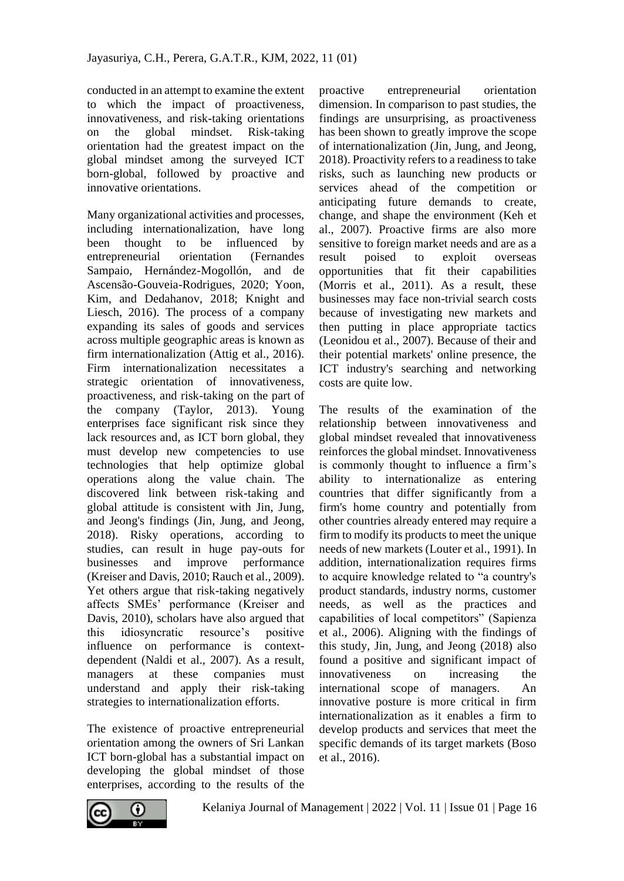conducted in an attempt to examine the extent to which the impact of proactiveness, innovativeness, and risk-taking orientations on the global mindset. Risk-taking orientation had the greatest impact on the global mindset among the surveyed ICT born-global, followed by proactive and innovative orientations.

Many organizational activities and processes, including internationalization, have long been thought to be influenced by entrepreneurial orientation (Fernandes Sampaio, Hernández-Mogollón, and de Ascensão-Gouveia-Rodrigues, 2020; Yoon, Kim, and Dedahanov, 2018; Knight and Liesch, 2016). The process of a company expanding its sales of goods and services across multiple geographic areas is known as firm internationalization (Attig et al., 2016). Firm internationalization necessitates a strategic orientation of innovativeness, proactiveness, and risk-taking on the part of the company (Taylor, 2013). Young enterprises face significant risk since they lack resources and, as ICT born global, they must develop new competencies to use technologies that help optimize global operations along the value chain. The discovered link between risk-taking and global attitude is consistent with Jin, Jung, and Jeong's findings (Jin, Jung, and Jeong, 2018). Risky operations, according to studies, can result in huge pay-outs for businesses and improve performance (Kreiser and Davis, 2010; Rauch et al., 2009). Yet others argue that risk-taking negatively affects SMEs' performance (Kreiser and Davis, 2010), scholars have also argued that this idiosyncratic resource's positive influence on performance is contextdependent (Naldi et al., 2007). As a result, managers at these companies must understand and apply their risk-taking strategies to internationalization efforts.

The existence of proactive entrepreneurial orientation among the owners of Sri Lankan ICT born-global has a substantial impact on developing the global mindset of those enterprises, according to the results of the proactive entrepreneurial orientation dimension. In comparison to past studies, the findings are unsurprising, as proactiveness has been shown to greatly improve the scope of internationalization (Jin, Jung, and Jeong, 2018). Proactivity refers to a readiness to take risks, such as launching new products or services ahead of the competition or anticipating future demands to create, change, and shape the environment (Keh et al., 2007). Proactive firms are also more sensitive to foreign market needs and are as a result poised to exploit overseas opportunities that fit their capabilities (Morris et al., 2011). As a result, these businesses may face non-trivial search costs because of investigating new markets and then putting in place appropriate tactics (Leonidou et al., 2007). Because of their and their potential markets' online presence, the ICT industry's searching and networking costs are quite low.

The results of the examination of the relationship between innovativeness and global mindset revealed that innovativeness reinforces the global mindset. Innovativeness is commonly thought to influence a firm's ability to internationalize as entering countries that differ significantly from a firm's home country and potentially from other countries already entered may require a firm to modify its products to meet the unique needs of new markets (Louter et al., 1991). In addition, internationalization requires firms to acquire knowledge related to "a country's product standards, industry norms, customer needs, as well as the practices and capabilities of local competitors" (Sapienza et al., 2006). Aligning with the findings of this study, Jin, Jung, and Jeong (2018) also found a positive and significant impact of innovativeness on increasing the international scope of managers. An innovative posture is more critical in firm internationalization as it enables a firm to develop products and services that meet the specific demands of its target markets (Boso et al., 2016).

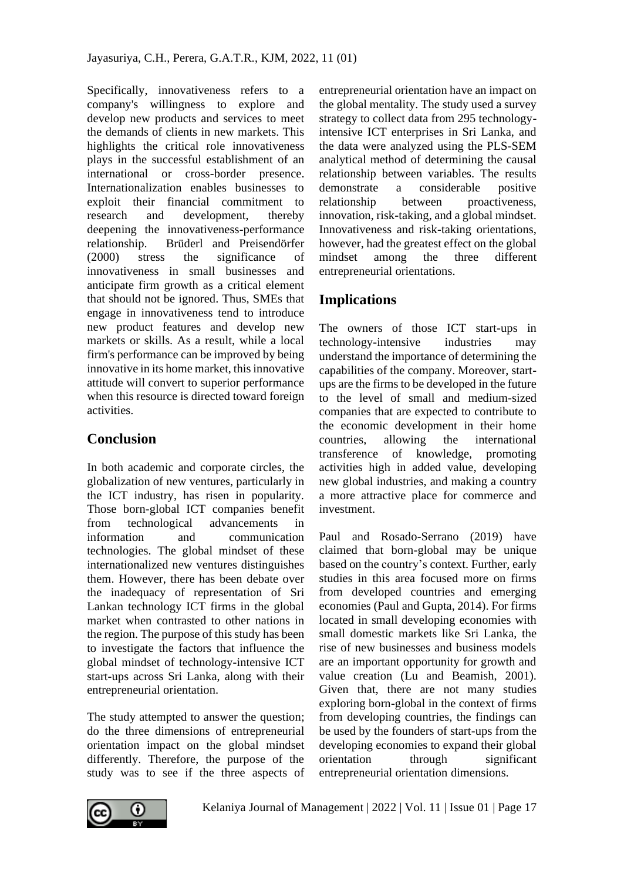Specifically, innovativeness refers to a company's willingness to explore and develop new products and services to meet the demands of clients in new markets. This highlights the critical role innovativeness plays in the successful establishment of an international or cross-border presence. Internationalization enables businesses to exploit their financial commitment to research and development, thereby deepening the innovativeness-performance relationship. Brüderl and Preisendörfer (2000) stress the significance of innovativeness in small businesses and anticipate firm growth as a critical element that should not be ignored. Thus, SMEs that engage in innovativeness tend to introduce new product features and develop new markets or skills. As a result, while a local firm's performance can be improved by being innovative in its home market, this innovative attitude will convert to superior performance when this resource is directed toward foreign activities.

# **Conclusion**

In both academic and corporate circles, the globalization of new ventures, particularly in the ICT industry, has risen in popularity. Those born-global ICT companies benefit from technological advancements in information and communication technologies. The global mindset of these internationalized new ventures distinguishes them. However, there has been debate over the inadequacy of representation of Sri Lankan technology ICT firms in the global market when contrasted to other nations in the region. The purpose of this study has been to investigate the factors that influence the global mindset of technology-intensive ICT start-ups across Sri Lanka, along with their entrepreneurial orientation.

The study attempted to answer the question; do the three dimensions of entrepreneurial orientation impact on the global mindset differently. Therefore, the purpose of the study was to see if the three aspects of entrepreneurial orientation have an impact on the global mentality. The study used a survey strategy to collect data from 295 technologyintensive ICT enterprises in Sri Lanka, and the data were analyzed using the PLS-SEM analytical method of determining the causal relationship between variables. The results demonstrate a considerable positive relationship between proactiveness, innovation, risk-taking, and a global mindset. Innovativeness and risk-taking orientations, however, had the greatest effect on the global mindset among the three different entrepreneurial orientations.

# **Implications**

The owners of those ICT start-ups in technology-intensive industries may understand the importance of determining the capabilities of the company. Moreover, startups are the firms to be developed in the future to the level of small and medium-sized companies that are expected to contribute to the economic development in their home countries, allowing the international transference of knowledge, promoting activities high in added value, developing new global industries, and making a country a more attractive place for commerce and investment.

Paul and Rosado-Serrano (2019) have claimed that born-global may be unique based on the country's context. Further, early studies in this area focused more on firms from developed countries and emerging economies (Paul and Gupta, 2014). For firms located in small developing economies with small domestic markets like Sri Lanka, the rise of new businesses and business models are an important opportunity for growth and value creation (Lu and Beamish, 2001). Given that, there are not many studies exploring born-global in the context of firms from developing countries, the findings can be used by the founders of start-ups from the developing economies to expand their global orientation through significant entrepreneurial orientation dimensions.

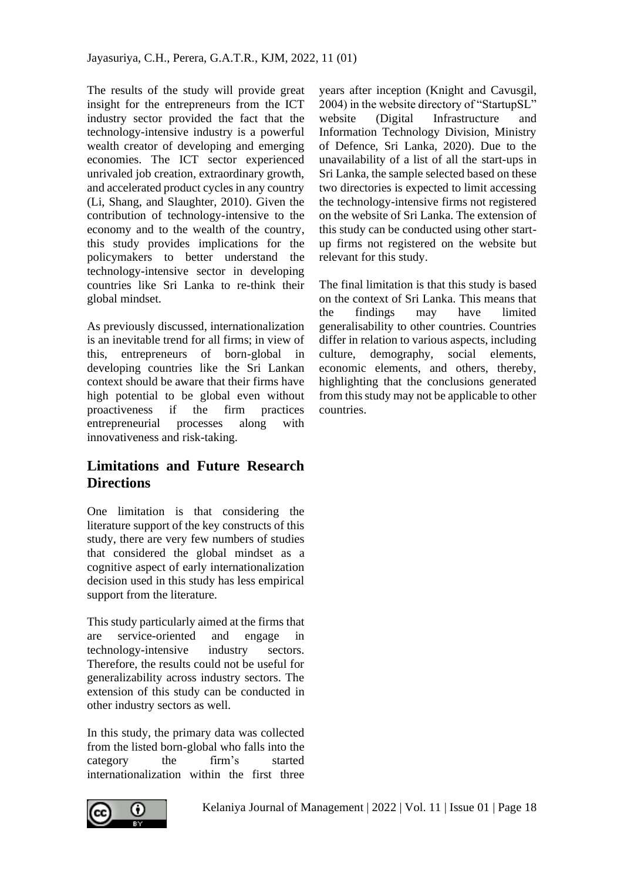The results of the study will provide great insight for the entrepreneurs from the ICT industry sector provided the fact that the technology-intensive industry is a powerful wealth creator of developing and emerging economies. The ICT sector experienced unrivaled job creation, extraordinary growth, and accelerated product cycles in any country (Li, Shang, and Slaughter, 2010). Given the contribution of technology-intensive to the economy and to the wealth of the country, this study provides implications for the policymakers to better understand the technology-intensive sector in developing countries like Sri Lanka to re-think their global mindset.

As previously discussed, internationalization is an inevitable trend for all firms; in view of this, entrepreneurs of born-global in developing countries like the Sri Lankan context should be aware that their firms have high potential to be global even without proactiveness if the firm practices entrepreneurial processes along with innovativeness and risk-taking.

# **Limitations and Future Research Directions**

One limitation is that considering the literature support of the key constructs of this study, there are very few numbers of studies that considered the global mindset as a cognitive aspect of early internationalization decision used in this study has less empirical support from the literature.

This study particularly aimed at the firms that are service-oriented and engage in technology-intensive industry sectors. Therefore, the results could not be useful for generalizability across industry sectors. The extension of this study can be conducted in other industry sectors as well.

In this study, the primary data was collected from the listed born-global who falls into the category the firm's started internationalization within the first three



years after inception (Knight and Cavusgil, 2004) in the website directory of "StartupSL" website (Digital Infrastructure and Information Technology Division, Ministry of Defence, Sri Lanka, 2020). Due to the unavailability of a list of all the start-ups in Sri Lanka, the sample selected based on these two directories is expected to limit accessing the technology-intensive firms not registered on the website of Sri Lanka. The extension of this study can be conducted using other startup firms not registered on the website but relevant for this study.

The final limitation is that this study is based on the context of Sri Lanka. This means that the findings may have limited generalisability to other countries. Countries differ in relation to various aspects, including culture, demography, social elements, economic elements, and others, thereby, highlighting that the conclusions generated from this study may not be applicable to other countries.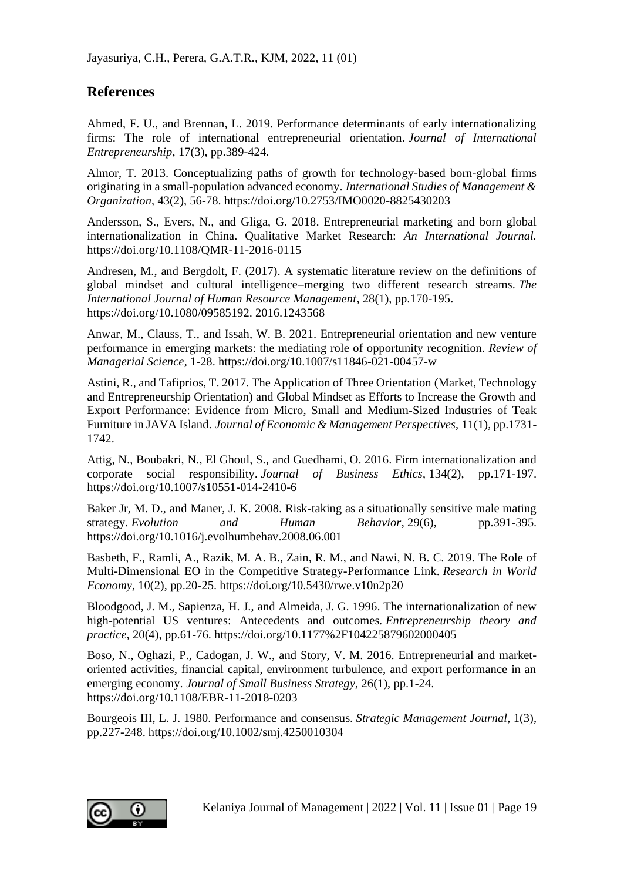## **References**

Ahmed, F. U., and Brennan, L. 2019. Performance determinants of early internationalizing firms: The role of international entrepreneurial orientation. *Journal of International Entrepreneurship*, 17(3), pp.389-424.

Almor, T. 2013. Conceptualizing paths of growth for technology-based born-global firms originating in a small-population advanced economy. *International Studies of Management & Organization*, 43(2), 56-78. https://doi.org/10.2753/IMO0020-8825430203

Andersson, S., Evers, N., and Gliga, G. 2018. Entrepreneurial marketing and born global internationalization in China. Qualitative Market Research: *An International Journal.*  https://doi.org/10.1108/QMR-11-2016-0115

Andresen, M., and Bergdolt, F. (2017). A systematic literature review on the definitions of global mindset and cultural intelligence–merging two different research streams. *The International Journal of Human Resource Management*, 28(1), pp.170-195. https://doi.org/10.1080/09585192. 2016.1243568

Anwar, M., Clauss, T., and Issah, W. B. 2021. Entrepreneurial orientation and new venture performance in emerging markets: the mediating role of opportunity recognition. *Review of Managerial Science*, 1-28. https://doi.org/10.1007/s11846-021-00457-w

Astini, R., and Tafiprios, T. 2017. The Application of Three Orientation (Market, Technology and Entrepreneurship Orientation) and Global Mindset as Efforts to Increase the Growth and Export Performance: Evidence from Micro, Small and Medium-Sized Industries of Teak Furniture in JAVA Island. *Journal of Economic & Management Perspectives*, 11(1), pp.1731- 1742.

Attig, N., Boubakri, N., El Ghoul, S., and Guedhami, O. 2016. Firm internationalization and corporate social responsibility. *Journal of Business Ethics*, 134(2), pp.171-197. https://doi.org/10.1007/s10551-014-2410-6

Baker Jr, M. D., and Maner, J. K. 2008. Risk-taking as a situationally sensitive male mating strategy. *Evolution and Human Behavior*, 29(6), pp.391-395. https://doi.org/10.1016/j.evolhumbehav.2008.06.001

Basbeth, F., Ramli, A., Razik, M. A. B., Zain, R. M., and Nawi, N. B. C. 2019. The Role of Multi-Dimensional EO in the Competitive Strategy-Performance Link. *Research in World Economy*, 10(2), pp.20-25. https://doi.org/10.5430/rwe.v10n2p20

Bloodgood, J. M., Sapienza, H. J., and Almeida, J. G. 1996. The internationalization of new high-potential US ventures: Antecedents and outcomes. *Entrepreneurship theory and practice*, 20(4), pp.61-76. https://doi.org/10.1177%2F104225879602000405

Boso, N., Oghazi, P., Cadogan, J. W., and Story, V. M. 2016. Entrepreneurial and marketoriented activities, financial capital, environment turbulence, and export performance in an emerging economy. *Journal of Small Business Strategy*, 26(1), pp.1-24. https://doi.org/10.1108/EBR-11-2018-0203

Bourgeois III, L. J. 1980. Performance and consensus. *Strategic Management Journal*, 1(3), pp.227-248. https://doi.org/10.1002/smj.4250010304

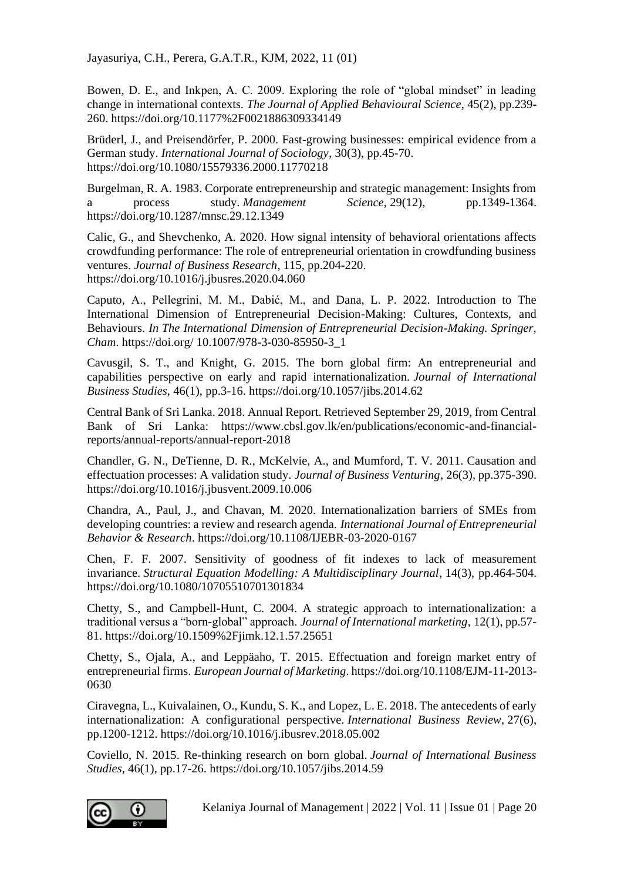Bowen, D. E., and Inkpen, A. C. 2009. Exploring the role of "global mindset" in leading change in international contexts. *The Journal of Applied Behavioural Science*, 45(2), pp.239- 260. https://doi.org/10.1177%2F0021886309334149

Brüderl, J., and Preisendörfer, P. 2000. Fast-growing businesses: empirical evidence from a German study. *International Journal of Sociology*, 30(3), pp.45-70. https://doi.org/10.1080/15579336.2000.11770218

Burgelman, R. A. 1983. Corporate entrepreneurship and strategic management: Insights from process study. *Management* Science, 29(12), pp.1349-1364. https://doi.org/10.1287/mnsc.29.12.1349

Calic, G., and Shevchenko, A. 2020. How signal intensity of behavioral orientations affects crowdfunding performance: The role of entrepreneurial orientation in crowdfunding business ventures. *Journal of Business Research*, 115, pp.204-220. https://doi.org/10.1016/j.jbusres.2020.04.060

Caputo, A., Pellegrini, M. M., Dabić, M., and Dana, L. P. 2022. Introduction to The International Dimension of Entrepreneurial Decision-Making: Cultures, Contexts, and Behaviours. *In The International Dimension of Entrepreneurial Decision-Making. Springer, Cham*. https://doi.org/ 10.1007/978-3-030-85950-3\_1

Cavusgil, S. T., and Knight, G. 2015. The born global firm: An entrepreneurial and capabilities perspective on early and rapid internationalization. *Journal of International Business Studies*, 46(1), pp.3-16. https://doi.org/10.1057/jibs.2014.62

Central Bank of Sri Lanka. 2018. Annual Report. Retrieved September 29, 2019, from Central Bank of Sri Lanka: https://www.cbsl.gov.lk/en/publications/economic-and-financialreports/annual-reports/annual-report-2018

Chandler, G. N., DeTienne, D. R., McKelvie, A., and Mumford, T. V. 2011. Causation and effectuation processes: A validation study. *Journal of Business Venturing*, 26(3), pp.375-390. https://doi.org/10.1016/j.jbusvent.2009.10.006

Chandra, A., Paul, J., and Chavan, M. 2020. Internationalization barriers of SMEs from developing countries: a review and research agenda. *International Journal of Entrepreneurial Behavior & Research*. https://doi.org/10.1108/IJEBR-03-2020-0167

Chen, F. F. 2007. Sensitivity of goodness of fit indexes to lack of measurement invariance. *Structural Equation Modelling: A Multidisciplinary Journal*, 14(3), pp.464-504. https://doi.org/10.1080/10705510701301834

Chetty, S., and Campbell-Hunt, C. 2004. A strategic approach to internationalization: a traditional versus a "born-global" approach. *Journal of International marketing*, 12(1), pp.57- 81. https://doi.org/10.1509%2Fjimk.12.1.57.25651

Chetty, S., Ojala, A., and Leppäaho, T. 2015. Effectuation and foreign market entry of entrepreneurial firms. *European Journal of Marketing*. https://doi.org/10.1108/EJM-11-2013- 0630

Ciravegna, L., Kuivalainen, O., Kundu, S. K., and Lopez, L. E. 2018. The antecedents of early internationalization: A configurational perspective. *International Business Review*, 27(6), pp.1200-1212. https://doi.org/10.1016/j.ibusrev.2018.05.002

Coviello, N. 2015. Re-thinking research on born global. *Journal of International Business Studies*, 46(1), pp.17-26. https://doi.org/10.1057/jibs.2014.59

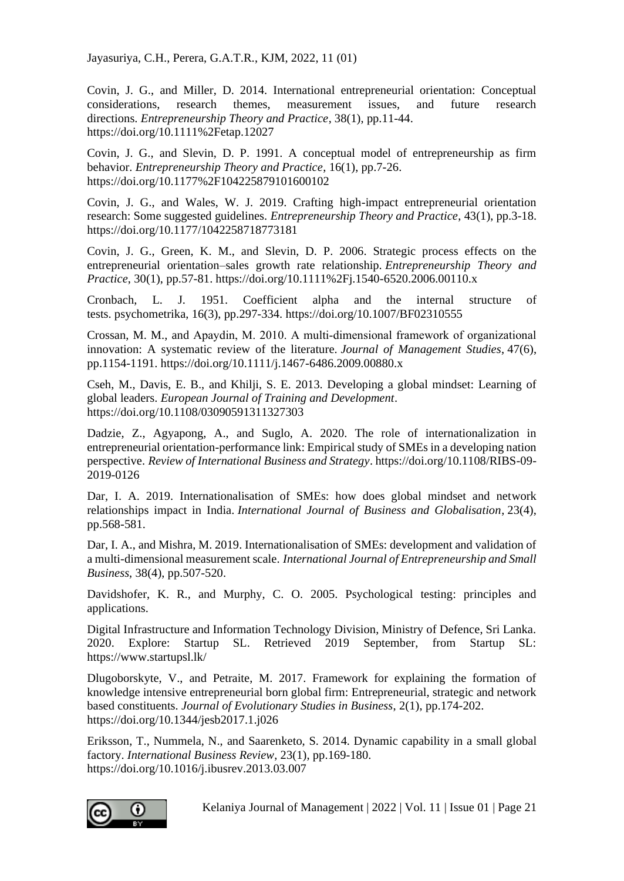Covin, J. G., and Miller, D. 2014. International entrepreneurial orientation: Conceptual considerations, research themes, measurement issues, and future research directions. *Entrepreneurship Theory and Practice*, 38(1), pp.11-44. https://doi.org/10.1111%2Fetap.12027

Covin, J. G., and Slevin, D. P. 1991. A conceptual model of entrepreneurship as firm behavior. *Entrepreneurship Theory and Practice*, 16(1), pp.7-26. https://doi.org/10.1177%2F104225879101600102

Covin, J. G., and Wales, W. J. 2019. Crafting high-impact entrepreneurial orientation research: Some suggested guidelines. *Entrepreneurship Theory and Practice*, 43(1), pp.3-18. https://doi.org/10.1177/1042258718773181

Covin, J. G., Green, K. M., and Slevin, D. P. 2006. Strategic process effects on the entrepreneurial orientation–sales growth rate relationship. *Entrepreneurship Theory and Practice*, 30(1), pp.57-81. https://doi.org/10.1111%2Fj.1540-6520.2006.00110.x

Cronbach, L. J. 1951. Coefficient alpha and the internal structure of tests. psychometrika, 16(3), pp.297-334. https://doi.org/10.1007/BF02310555

Crossan, M. M., and Apaydin, M. 2010. A multi‐dimensional framework of organizational innovation: A systematic review of the literature. *Journal of Management Studies*, 47(6), pp.1154-1191. https://doi.org/10.1111/j.1467-6486.2009.00880.x

Cseh, M., Davis, E. B., and Khilji, S. E. 2013. Developing a global mindset: Learning of global leaders. *European Journal of Training and Development*. https://doi.org/10.1108/03090591311327303

Dadzie, Z., Agyapong, A., and Suglo, A. 2020. The role of internationalization in entrepreneurial orientation-performance link: Empirical study of SMEs in a developing nation perspective. *Review of International Business and Strategy*. https://doi.org/10.1108/RIBS-09- 2019-0126

Dar, I. A. 2019. Internationalisation of SMEs: how does global mindset and network relationships impact in India. *International Journal of Business and Globalisation*, 23(4), pp.568-581.

Dar, I. A., and Mishra, M. 2019. Internationalisation of SMEs: development and validation of a multi-dimensional measurement scale. *International Journal of Entrepreneurship and Small Business*, 38(4), pp.507-520.

Davidshofer, K. R., and Murphy, C. O. 2005. Psychological testing: principles and applications.

Digital Infrastructure and Information Technology Division, Ministry of Defence, Sri Lanka. 2020. Explore: Startup SL. Retrieved 2019 September, from Startup SL: <https://www.startupsl.lk/>

Dlugoborskyte, V., and Petraite, M. 2017. Framework for explaining the formation of knowledge intensive entrepreneurial born global firm: Entrepreneurial, strategic and network based constituents. *Journal of Evolutionary Studies in Business*, 2(1), pp.174-202. https://doi.org/10.1344/jesb2017.1.j026

Eriksson, T., Nummela, N., and Saarenketo, S. 2014. Dynamic capability in a small global factory. *International Business Review*, 23(1), pp.169-180. https://doi.org/10.1016/j.ibusrev.2013.03.007

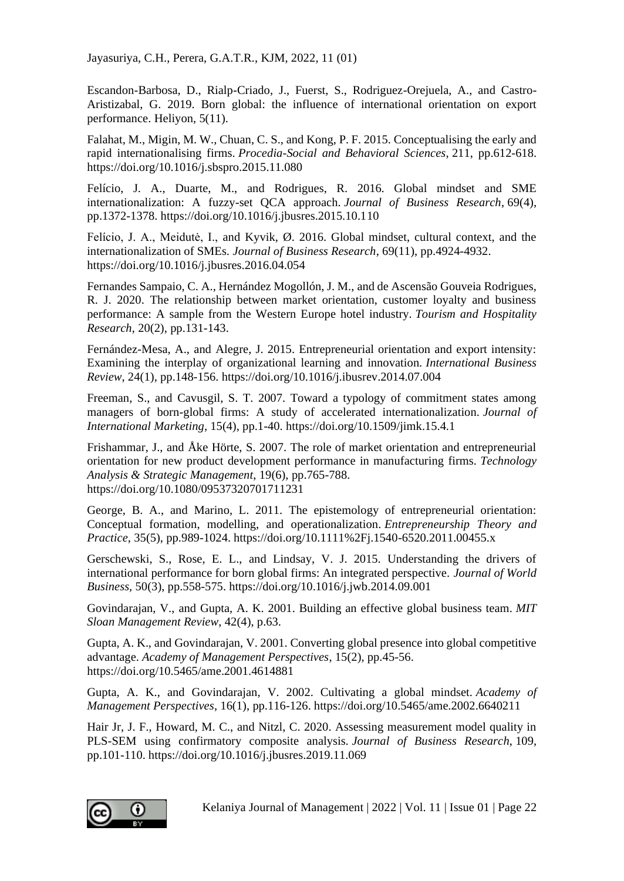Escandon-Barbosa, D., Rialp-Criado, J., Fuerst, S., Rodriguez-Orejuela, A., and Castro-Aristizabal, G. 2019. Born global: the influence of international orientation on export performance. Heliyon, 5(11).

Falahat, M., Migin, M. W., Chuan, C. S., and Kong, P. F. 2015. Conceptualising the early and rapid internationalising firms. *Procedia-Social and Behavioral Sciences*, 211, pp.612-618. https://doi.org/10.1016/j.sbspro.2015.11.080

Felício, J. A., Duarte, M., and Rodrigues, R. 2016. Global mindset and SME internationalization: A fuzzy-set QCA approach. *Journal of Business Research*, 69(4), pp.1372-1378. https://doi.org/10.1016/j.jbusres.2015.10.110

Felício, J. A., Meidutė, I., and Kyvik, Ø. 2016. Global mindset, cultural context, and the internationalization of SMEs. *Journal of Business Research*, 69(11), pp.4924-4932. https://doi.org/10.1016/j.jbusres.2016.04.054

Fernandes Sampaio, C. A., Hernández Mogollón, J. M., and de Ascensão Gouveia Rodrigues, R. J. 2020. The relationship between market orientation, customer loyalty and business performance: A sample from the Western Europe hotel industry. *Tourism and Hospitality Research*, 20(2), pp.131-143.

Fernández-Mesa, A., and Alegre, J. 2015. Entrepreneurial orientation and export intensity: Examining the interplay of organizational learning and innovation. *International Business Review*, 24(1), pp.148-156. https://doi.org/10.1016/j.ibusrev.2014.07.004

Freeman, S., and Cavusgil, S. T. 2007. Toward a typology of commitment states among managers of born-global firms: A study of accelerated internationalization. *Journal of International Marketing*, 15(4), pp.1-40. https://doi.org/10.1509/jimk.15.4.1

Frishammar, J., and Åke Hörte, S. 2007. The role of market orientation and entrepreneurial orientation for new product development performance in manufacturing firms. *Technology Analysis & Strategic Management*, 19(6), pp.765-788. https://doi.org/10.1080/09537320701711231

George, B. A., and Marino, L. 2011. The epistemology of entrepreneurial orientation: Conceptual formation, modelling, and operationalization. *Entrepreneurship Theory and Practice*, 35(5), pp.989-1024. https://doi.org/10.1111%2Fj.1540-6520.2011.00455.x

Gerschewski, S., Rose, E. L., and Lindsay, V. J. 2015. Understanding the drivers of international performance for born global firms: An integrated perspective. *Journal of World Business,* 50(3), pp.558-575. https://doi.org/10.1016/j.jwb.2014.09.001

Govindarajan, V., and Gupta, A. K. 2001. Building an effective global business team. *MIT Sloan Management Review*, 42(4), p.63.

Gupta, A. K., and Govindarajan, V. 2001. Converting global presence into global competitive advantage. *Academy of Management Perspectives*, 15(2), pp.45-56. https://doi.org/10.5465/ame.2001.4614881

Gupta, A. K., and Govindarajan, V. 2002. Cultivating a global mindset. *Academy of Management Perspectives*, 16(1), pp.116-126. https://doi.org/10.5465/ame.2002.6640211

Hair Jr, J. F., Howard, M. C., and Nitzl, C. 2020. Assessing measurement model quality in PLS-SEM using confirmatory composite analysis. *Journal of Business Research*, 109, pp.101-110. https://doi.org/10.1016/j.jbusres.2019.11.069

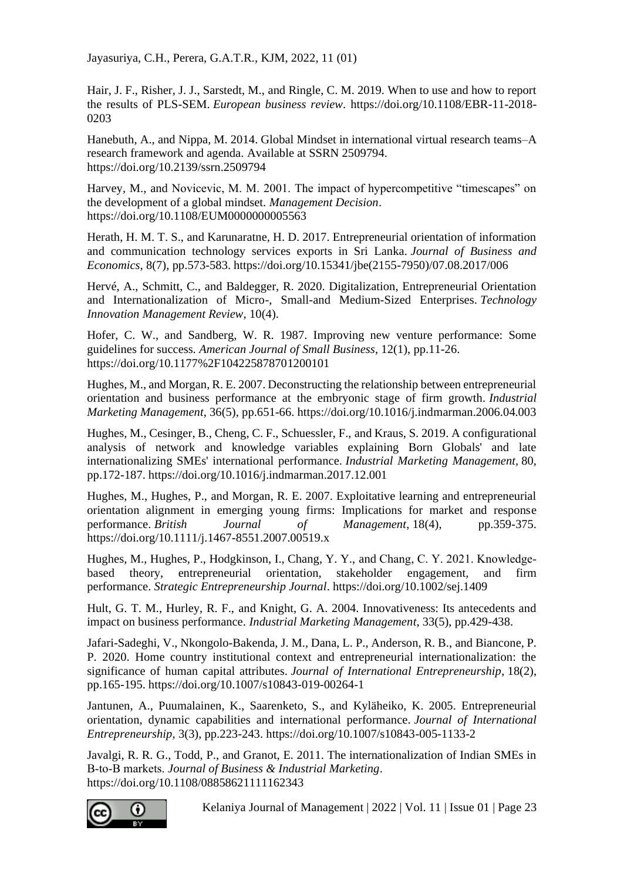Hair, J. F., Risher, J. J., Sarstedt, M., and Ringle, C. M. 2019. When to use and how to report the results of PLS-SEM. *European business review*. https://doi.org/10.1108/EBR-11-2018- 0203

Hanebuth, A., and Nippa, M. 2014. Global Mindset in international virtual research teams–A research framework and agenda. Available at SSRN 2509794. https://doi.org/10.2139/ssrn.2509794

Harvey, M., and Novicevic, M. M. 2001. The impact of hypercompetitive "timescapes" on the development of a global mindset. *Management Decision*. https://doi.org/10.1108/EUM0000000005563

Herath, H. M. T. S., and Karunaratne, H. D. 2017. Entrepreneurial orientation of information and communication technology services exports in Sri Lanka. *Journal of Business and Economics*, 8(7), pp.573-583. https://doi.org/10.15341/jbe(2155-7950)/07.08.2017/006

Hervé, A., Schmitt, C., and Baldegger, R. 2020. Digitalization, Entrepreneurial Orientation and Internationalization of Micro-, Small-and Medium-Sized Enterprises. *Technology Innovation Management Review*, 10(4).

Hofer, C. W., and Sandberg, W. R. 1987. Improving new venture performance: Some guidelines for success. *American Journal of Small Business*, 12(1), pp.11-26. https://doi.org/10.1177%2F104225878701200101

Hughes, M., and Morgan, R. E. 2007. Deconstructing the relationship between entrepreneurial orientation and business performance at the embryonic stage of firm growth. *Industrial Marketing Management*, 36(5), pp.651-66. https://doi.org/10.1016/j.indmarman.2006.04.003

Hughes, M., Cesinger, B., Cheng, C. F., Schuessler, F., and Kraus, S. 2019. A configurational analysis of network and knowledge variables explaining Born Globals' and late internationalizing SMEs' international performance. *Industrial Marketing Management,* 80, pp.172-187. https://doi.org/10.1016/j.indmarman.2017.12.001

Hughes, M., Hughes, P., and Morgan, R. E. 2007. Exploitative learning and entrepreneurial orientation alignment in emerging young firms: Implications for market and response performance. *British Journal of Management*, 18(4), pp.359-375. https://doi.org/10.1111/j.1467-8551.2007.00519.x

Hughes, M., Hughes, P., Hodgkinson, I., Chang, Y. Y., and Chang, C. Y. 2021. Knowledge‐ based theory, entrepreneurial orientation, stakeholder engagement, and firm performance. *Strategic Entrepreneurship Journal*. https://doi.org/10.1002/sej.1409

Hult, G. T. M., Hurley, R. F., and Knight, G. A. 2004. Innovativeness: Its antecedents and impact on business performance. *Industrial Marketing Management*, 33(5), pp.429-438.

Jafari-Sadeghi, V., Nkongolo-Bakenda, J. M., Dana, L. P., Anderson, R. B., and Biancone, P. P. 2020. Home country institutional context and entrepreneurial internationalization: the significance of human capital attributes. *Journal of International Entrepreneurship*, 18(2), pp.165-195. https://doi.org/10.1007/s10843-019-00264-1

Jantunen, A., Puumalainen, K., Saarenketo, S., and Kyläheiko, K. 2005. Entrepreneurial orientation, dynamic capabilities and international performance. *Journal of International Entrepreneurship*, 3(3), pp.223-243. https://doi.org/10.1007/s10843-005-1133-2

Javalgi, R. R. G., Todd, P., and Granot, E. 2011. The internationalization of Indian SMEs in B‐to‐B markets. *Journal of Business & Industrial Marketing*. https://doi.org/10.1108/08858621111162343

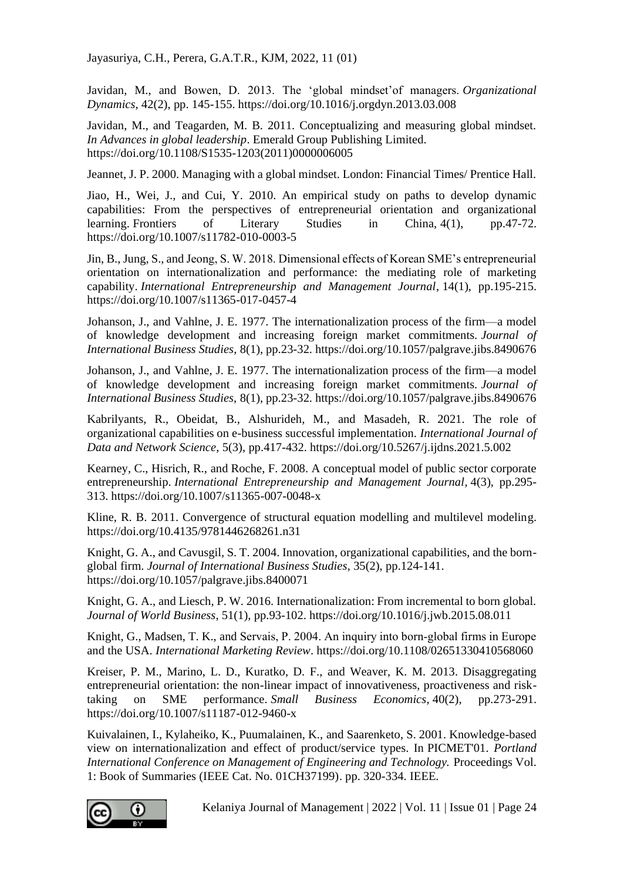Javidan, M., and Bowen, D. 2013. The 'global mindset'of managers. *Organizational Dynamics*, 42(2), pp. 145-155. https://doi.org/10.1016/j.orgdyn.2013.03.008

Javidan, M., and Teagarden, M. B. 2011. Conceptualizing and measuring global mindset. *In Advances in global leadership*. Emerald Group Publishing Limited. https://doi.org/10.1108/S1535-1203(2011)0000006005

Jeannet, J. P. 2000. Managing with a global mindset. London: Financial Times/ Prentice Hall.

Jiao, H., Wei, J., and Cui, Y. 2010. An empirical study on paths to develop dynamic capabilities: From the perspectives of entrepreneurial orientation and organizational learning. Frontiers of Literary Studies in China, 4(1), pp.47-72. https://doi.org/10.1007/s11782-010-0003-5

Jin, B., Jung, S., and Jeong, S. W. 2018. Dimensional effects of Korean SME's entrepreneurial orientation on internationalization and performance: the mediating role of marketing capability. *International Entrepreneurship and Management Journal*, 14(1), pp.195-215. https://doi.org/10.1007/s11365-017-0457-4

Johanson, J., and Vahlne, J. E. 1977. The internationalization process of the firm—a model of knowledge development and increasing foreign market commitments. *Journal of International Business Studies*, 8(1), pp.23-32. https://doi.org/10.1057/palgrave.jibs.8490676

Johanson, J., and Vahlne, J. E. 1977. The internationalization process of the firm—a model of knowledge development and increasing foreign market commitments. *Journal of International Business Studies,* 8(1), pp.23-32. https://doi.org/10.1057/palgrave.jibs.8490676

Kabrilyants, R., Obeidat, B., Alshurideh, M., and Masadeh, R. 2021. The role of organizational capabilities on e-business successful implementation. *International Journal of Data and Network Science*, 5(3), pp.417-432. https://doi.org/10.5267/j.ijdns.2021.5.002

Kearney, C., Hisrich, R., and Roche, F. 2008. A conceptual model of public sector corporate entrepreneurship. *International Entrepreneurship and Management Journal*, 4(3), pp.295- 313. https://doi.org/10.1007/s11365-007-0048-x

Kline, R. B. 2011. Convergence of structural equation modelling and multilevel modeling. https://doi.org/10.4135/9781446268261.n31

Knight, G. A., and Cavusgil, S. T. 2004. Innovation, organizational capabilities, and the bornglobal firm. *Journal of International Business Studies*, 35(2), pp.124-141. https://doi.org/10.1057/palgrave.jibs.8400071

Knight, G. A., and Liesch, P. W. 2016. Internationalization: From incremental to born global. *Journal of World Business*, 51(1), pp.93-102. https://doi.org/10.1016/j.jwb.2015.08.011

Knight, G., Madsen, T. K., and Servais, P. 2004. An inquiry into born-global firms in Europe and the USA. *International Marketing Review*. https://doi.org/10.1108/02651330410568060

Kreiser, P. M., Marino, L. D., Kuratko, D. F., and Weaver, K. M. 2013. Disaggregating entrepreneurial orientation: the non-linear impact of innovativeness, proactiveness and risktaking on SME performance. *Small Business Economics*, 40(2), pp.273-291. https://doi.org/10.1007/s11187-012-9460-x

Kuivalainen, I., Kylaheiko, K., Puumalainen, K., and Saarenketo, S. 2001. Knowledge-based view on internationalization and effect of product/service types. In PICMET'01. *Portland International Conference on Management of Engineering and Technology.* Proceedings Vol. 1: Book of Summaries (IEEE Cat. No. 01CH37199). pp. 320-334. IEEE.

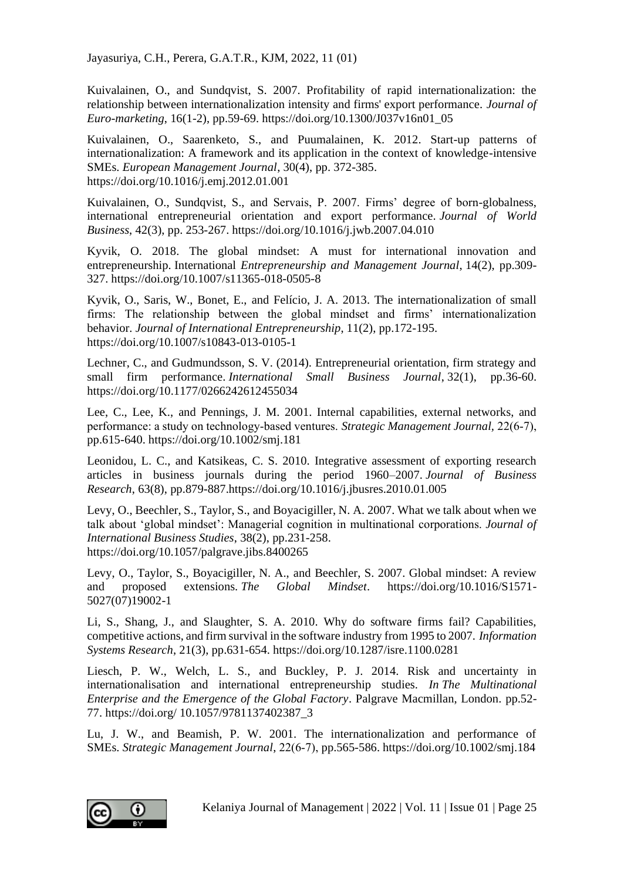Kuivalainen, O., and Sundqvist, S. 2007. Profitability of rapid internationalization: the relationship between internationalization intensity and firms' export performance. *Journal of Euro-marketing*, 16(1-2), pp.59-69. https://doi.org/10.1300/J037v16n01\_05

Kuivalainen, O., Saarenketo, S., and Puumalainen, K. 2012. Start-up patterns of internationalization: A framework and its application in the context of knowledge-intensive SMEs. *European Management Journal*, 30(4), pp. 372-385. https://doi.org/10.1016/j.emj.2012.01.001

Kuivalainen, O., Sundqvist, S., and Servais, P. 2007. Firms' degree of born-globalness, international entrepreneurial orientation and export performance. *Journal of World Business*, 42(3), pp. 253-267. https://doi.org/10.1016/j.jwb.2007.04.010

Kyvik, O. 2018. The global mindset: A must for international innovation and entrepreneurship. International *Entrepreneurship and Management Journal*, 14(2), pp.309- 327. https://doi.org/10.1007/s11365-018-0505-8

Kyvik, O., Saris, W., Bonet, E., and Felício, J. A. 2013. The internationalization of small firms: The relationship between the global mindset and firms' internationalization behavior. *Journal of International Entrepreneurship*, 11(2), pp.172-195. https://doi.org/10.1007/s10843-013-0105-1

Lechner, C., and Gudmundsson, S. V. (2014). Entrepreneurial orientation, firm strategy and small firm performance. *International Small Business Journal*, 32(1), pp.36-60. https://doi.org/10.1177/0266242612455034

Lee, C., Lee, K., and Pennings, J. M. 2001. Internal capabilities, external networks, and performance: a study on technology‐based ventures. *Strategic Management Journal,* 22(6‐7), pp.615-640. https://doi.org/10.1002/smj.181

Leonidou, L. C., and Katsikeas, C. S. 2010. Integrative assessment of exporting research articles in business journals during the period 1960–2007. *Journal of Business Research*, 63(8), pp.879-887.https://doi.org/10.1016/j.jbusres.2010.01.005

Levy, O., Beechler, S., Taylor, S., and Boyacigiller, N. A. 2007. What we talk about when we talk about 'global mindset': Managerial cognition in multinational corporations. *Journal of International Business Studies*, 38(2), pp.231-258. https://doi.org/10.1057/palgrave.jibs.8400265

Levy, O., Taylor, S., Boyacigiller, N. A., and Beechler, S. 2007. Global mindset: A review and proposed extensions. *The Global Mindset*. https://doi.org/10.1016/S1571- 5027(07)19002-1

Li, S., Shang, J., and Slaughter, S. A. 2010. Why do software firms fail? Capabilities, competitive actions, and firm survival in the software industry from 1995 to 2007. *Information Systems Research*, 21(3), pp.631-654. https://doi.org/10.1287/isre.1100.0281

Liesch, P. W., Welch, L. S., and Buckley, P. J. 2014. Risk and uncertainty in internationalisation and international entrepreneurship studies. *In The Multinational Enterprise and the Emergence of the Global Factory*. Palgrave Macmillan, London. pp.52- 77. https://doi.org/ 10.1057/9781137402387\_3

Lu, J. W., and Beamish, P. W. 2001. The internationalization and performance of SMEs. *Strategic Management Journal*, 22(6‐7), pp.565-586. https://doi.org/10.1002/smj.184

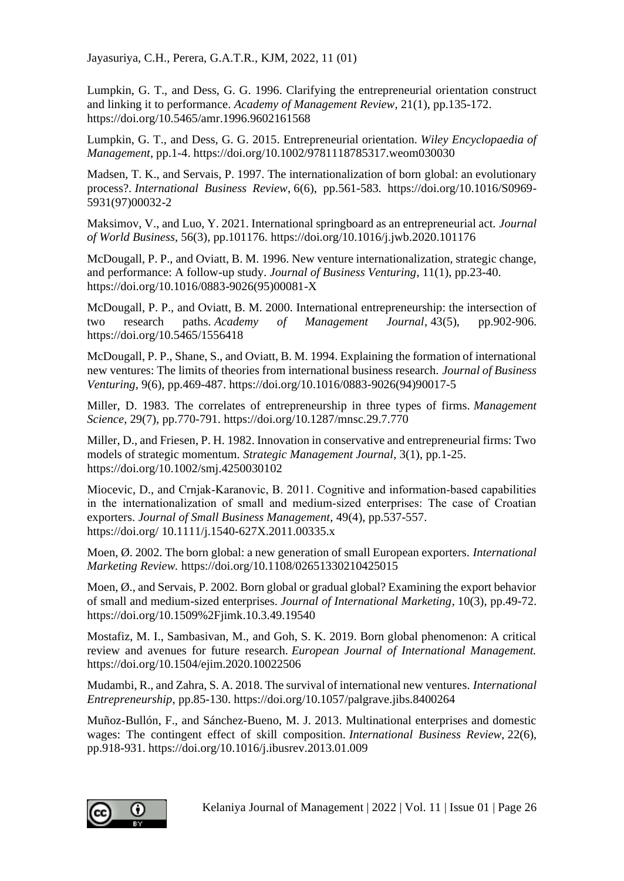Lumpkin, G. T., and Dess, G. G. 1996. Clarifying the entrepreneurial orientation construct and linking it to performance. *Academy of Management Review*, 21(1), pp.135-172. https://doi.org/10.5465/amr.1996.9602161568

Lumpkin, G. T., and Dess, G. G. 2015. Entrepreneurial orientation. *Wiley Encyclopaedia of Management*, pp.1-4. https://doi.org/10.1002/9781118785317.weom030030

Madsen, T. K., and Servais, P. 1997. The internationalization of born global: an evolutionary process?. *International Business Review*, 6(6), pp.561-583. https://doi.org/10.1016/S0969- 5931(97)00032-2

Maksimov, V., and Luo, Y. 2021. International springboard as an entrepreneurial act. *Journal of World Business*, 56(3), pp.101176. https://doi.org/10.1016/j.jwb.2020.101176

McDougall, P. P., and Oviatt, B. M. 1996. New venture internationalization, strategic change, and performance: A follow-up study. *Journal of Business Venturing*, 11(1), pp.23-40. https://doi.org/10.1016/0883-9026(95)00081-X

McDougall, P. P., and Oviatt, B. M. 2000. International entrepreneurship: the intersection of two research paths. *Academy of Management Journal*, 43(5), pp.902-906. https://doi.org/10.5465/1556418

McDougall, P. P., Shane, S., and Oviatt, B. M. 1994. Explaining the formation of international new ventures: The limits of theories from international business research. *Journal of Business Venturing*, 9(6), pp.469-487. https://doi.org/10.1016/0883-9026(94)90017-5

Miller, D. 1983. The correlates of entrepreneurship in three types of firms. *Management Science*, 29(7), pp.770-791. https://doi.org/10.1287/mnsc.29.7.770

Miller, D., and Friesen, P. H. 1982. Innovation in conservative and entrepreneurial firms: Two models of strategic momentum. *Strategic Management Journal*, 3(1), pp.1-25. https://doi.org/10.1002/smj.4250030102

Miocevic, D., and Crnjak‐Karanovic, B. 2011. Cognitive and information‐based capabilities in the internationalization of small and medium‐sized enterprises: The case of Croatian exporters. *Journal of Small Business Management*, 49(4), pp.537-557. https://doi.org/ 10.1111/j.1540-627X.2011.00335.x

Moen, Ø. 2002. The born global: a new generation of small European exporters. *International Marketing Review.* https://doi.org/10.1108/02651330210425015

Moen, Ø., and Servais, P. 2002. Born global or gradual global? Examining the export behavior of small and medium-sized enterprises. *Journal of International Marketing*, 10(3), pp.49-72. https://doi.org/10.1509%2Fjimk.10.3.49.19540

Mostafiz, M. I., Sambasivan, M., and Goh, S. K. 2019. Born global phenomenon: A critical review and avenues for future research. *European Journal of International Management.* https://doi.org/10.1504/ejim.2020.10022506

Mudambi, R., and Zahra, S. A. 2018. The survival of international new ventures. *International Entrepreneurship*, pp.85-130. https://doi.org/10.1057/palgrave.jibs.8400264

Muñoz-Bullón, F., and Sánchez-Bueno, M. J. 2013. Multinational enterprises and domestic wages: The contingent effect of skill composition. *International Business Review*, 22(6), pp.918-931. https://doi.org/10.1016/j.ibusrev.2013.01.009

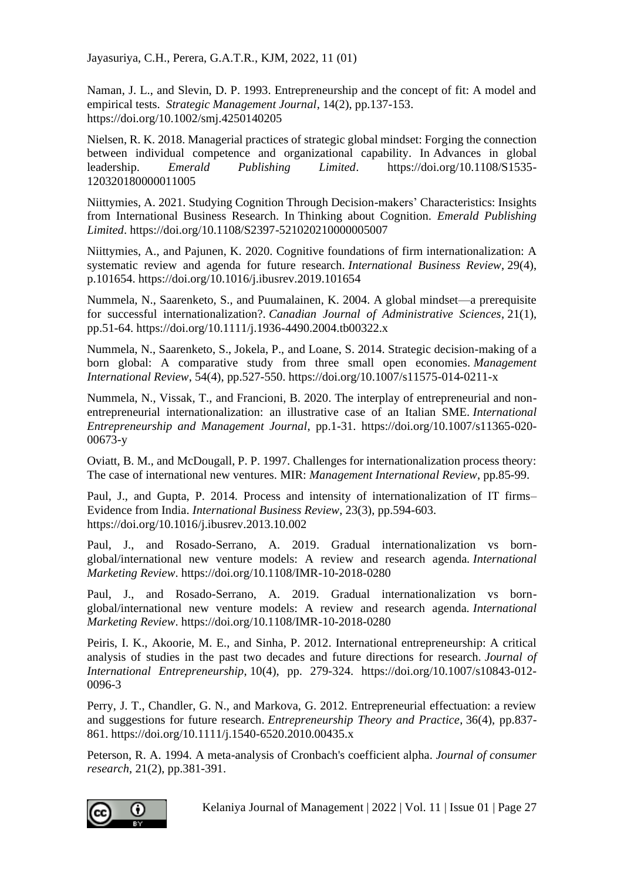Naman, J. L., and Slevin, D. P. 1993. Entrepreneurship and the concept of fit: A model and empirical tests. *Strategic Management Journal*, 14(2), pp.137-153. https://doi.org/10.1002/smj.4250140205

Nielsen, R. K. 2018. Managerial practices of strategic global mindset: Forging the connection between individual competence and organizational capability. In Advances in global leadership. *Emerald Publishing Limited*. https://doi.org/10.1108/S1535- 120320180000011005

Niittymies, A. 2021. Studying Cognition Through Decision-makers' Characteristics: Insights from International Business Research. In Thinking about Cognition. *Emerald Publishing Limited*. https://doi.org/10.1108/S2397-521020210000005007

Niittymies, A., and Pajunen, K. 2020. Cognitive foundations of firm internationalization: A systematic review and agenda for future research. *International Business Review*, 29(4), p.101654. https://doi.org/10.1016/j.ibusrev.2019.101654

Nummela, N., Saarenketo, S., and Puumalainen, K. 2004. A global mindset—a prerequisite for successful internationalization?. *Canadian Journal of Administrative Sciences*, 21(1), pp.51-64. https://doi.org/10.1111/j.1936-4490.2004.tb00322.x

Nummela, N., Saarenketo, S., Jokela, P., and Loane, S. 2014. Strategic decision-making of a born global: A comparative study from three small open economies. *Management International Review*, 54(4), pp.527-550. https://doi.org/10.1007/s11575-014-0211-x

Nummela, N., Vissak, T., and Francioni, B. 2020. The interplay of entrepreneurial and nonentrepreneurial internationalization: an illustrative case of an Italian SME. *International Entrepreneurship and Management Journal*, pp.1-31. https://doi.org/10.1007/s11365-020- 00673-y

Oviatt, B. M., and McDougall, P. P. 1997. Challenges for internationalization process theory: The case of international new ventures. MIR: *Management International Review*, pp.85-99.

Paul, J., and Gupta, P. 2014. Process and intensity of internationalization of IT firms– Evidence from India. *International Business Review*, 23(3), pp.594-603. https://doi.org/10.1016/j.ibusrev.2013.10.002

Paul, J., and Rosado-Serrano, A. 2019. Gradual internationalization vs bornglobal/international new venture models: A review and research agenda. *International Marketing Review*. https://doi.org/10.1108/IMR-10-2018-0280

Paul, J., and Rosado-Serrano, A. 2019. Gradual internationalization vs bornglobal/international new venture models: A review and research agenda. *International Marketing Review*. https://doi.org/10.1108/IMR-10-2018-0280

Peiris, I. K., Akoorie, M. E., and Sinha, P. 2012. International entrepreneurship: A critical analysis of studies in the past two decades and future directions for research. *Journal of International Entrepreneurship*, 10(4), pp. 279-324. https://doi.org/10.1007/s10843-012- 0096-3

Perry, J. T., Chandler, G. N., and Markova, G. 2012. Entrepreneurial effectuation: a review and suggestions for future research. *Entrepreneurship Theory and Practice*, 36(4), pp.837- 861. https://doi.org/10.1111/j.1540-6520.2010.00435.x

Peterson, R. A. 1994. A meta-analysis of Cronbach's coefficient alpha. *Journal of consumer research*, 21(2), pp.381-391.

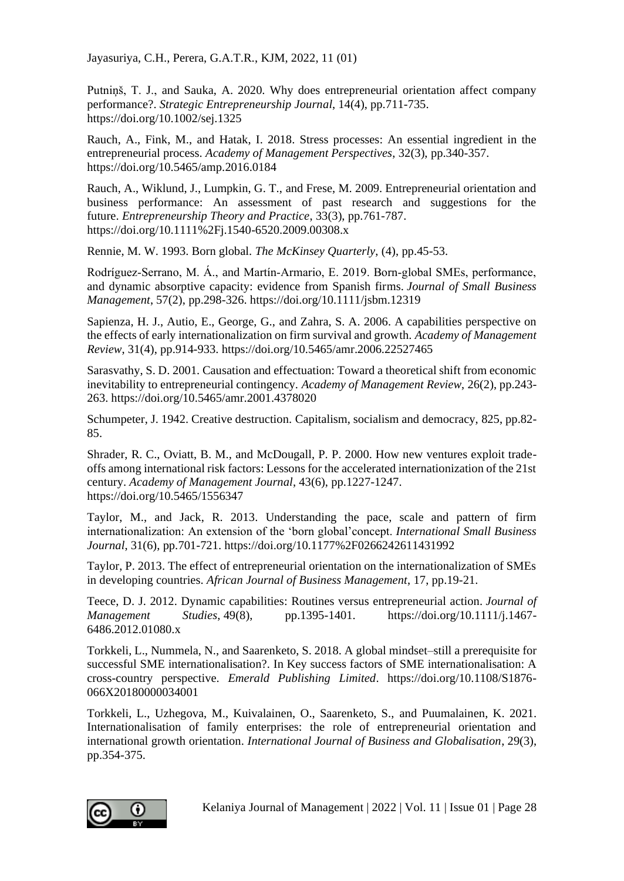Putniņš, T. J., and Sauka, A. 2020. Why does entrepreneurial orientation affect company performance?. *Strategic Entrepreneurship Journal*, 14(4), pp.711-735. https://doi.org/10.1002/sej.1325

Rauch, A., Fink, M., and Hatak, I. 2018. Stress processes: An essential ingredient in the entrepreneurial process. *Academy of Management Perspectives*, 32(3), pp.340-357. https://doi.org/10.5465/amp.2016.0184

Rauch, A., Wiklund, J., Lumpkin, G. T., and Frese, M. 2009. Entrepreneurial orientation and business performance: An assessment of past research and suggestions for the future. *Entrepreneurship Theory and Practice*, 33(3), pp.761-787. https://doi.org/10.1111%2Fj.1540-6520.2009.00308.x

Rennie, M. W. 1993. Born global. *The McKinsey Quarterly*, (4), pp.45-53.

Rodríguez‐Serrano, M. Á., and Martín‐Armario, E. 2019. Born‐global SMEs, performance, and dynamic absorptive capacity: evidence from Spanish firms. *Journal of Small Business Management*, 57(2), pp.298-326. https://doi.org/10.1111/jsbm.12319

Sapienza, H. J., Autio, E., George, G., and Zahra, S. A. 2006. A capabilities perspective on the effects of early internationalization on firm survival and growth. *Academy of Management Review*, 31(4), pp.914-933. https://doi.org/10.5465/amr.2006.22527465

Sarasvathy, S. D. 2001. Causation and effectuation: Toward a theoretical shift from economic inevitability to entrepreneurial contingency. *Academy of Management Review*, 26(2), pp.243- 263. https://doi.org/10.5465/amr.2001.4378020

Schumpeter, J. 1942. Creative destruction. Capitalism, socialism and democracy, 825, pp.82- 85.

Shrader, R. C., Oviatt, B. M., and McDougall, P. P. 2000. How new ventures exploit tradeoffs among international risk factors: Lessons for the accelerated internationization of the 21st century. *Academy of Management Journal*, 43(6), pp.1227-1247. https://doi.org/10.5465/1556347

Taylor, M., and Jack, R. 2013. Understanding the pace, scale and pattern of firm internationalization: An extension of the 'born global'concept. *International Small Business Journal*, 31(6), pp.701-721. https://doi.org/10.1177%2F0266242611431992

Taylor, P. 2013. The effect of entrepreneurial orientation on the internationalization of SMEs in developing countries. *African Journal of Business Management*, 17, pp.19-21.

Teece, D. J. 2012. Dynamic capabilities: Routines versus entrepreneurial action. *Journal of Management Studies*, 49(8), pp.1395-1401. https://doi.org/10.1111/j.1467- 6486.2012.01080.x

Torkkeli, L., Nummela, N., and Saarenketo, S. 2018. A global mindset–still a prerequisite for successful SME internationalisation?. In Key success factors of SME internationalisation: A cross-country perspective. *Emerald Publishing Limited*. https://doi.org/10.1108/S1876- 066X20180000034001

Torkkeli, L., Uzhegova, M., Kuivalainen, O., Saarenketo, S., and Puumalainen, K. 2021. Internationalisation of family enterprises: the role of entrepreneurial orientation and international growth orientation. *International Journal of Business and Globalisation*, 29(3), pp.354-375.

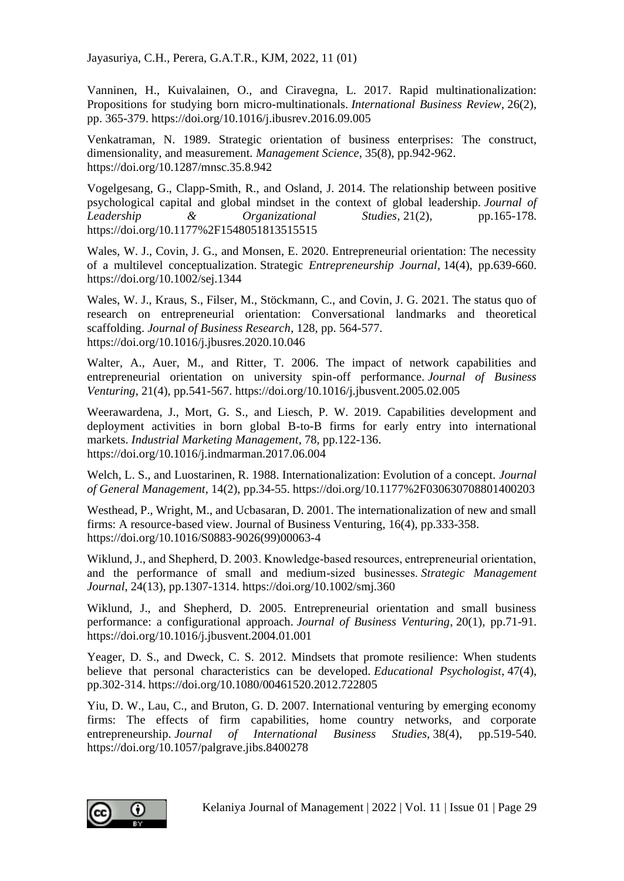Vanninen, H., Kuivalainen, O., and Ciravegna, L. 2017. Rapid multinationalization: Propositions for studying born micro-multinationals. *International Business Review*, 26(2), pp. 365-379. https://doi.org/10.1016/j.ibusrev.2016.09.005

Venkatraman, N. 1989. Strategic orientation of business enterprises: The construct, dimensionality, and measurement. *Management Science*, 35(8), pp.942-962. https://doi.org/10.1287/mnsc.35.8.942

Vogelgesang, G., Clapp-Smith, R., and Osland, J. 2014. The relationship between positive psychological capital and global mindset in the context of global leadership. *Journal of Leadership & Organizational Studies*, 21(2), pp.165-178. https://doi.org/10.1177%2F1548051813515515

Wales, W. J., Covin, J. G., and Monsen, E. 2020. Entrepreneurial orientation: The necessity of a multilevel conceptualization. Strategic *Entrepreneurship Journal*, 14(4), pp.639-660. https://doi.org/10.1002/sej.1344

Wales, W. J., Kraus, S., Filser, M., Stöckmann, C., and Covin, J. G. 2021. The status quo of research on entrepreneurial orientation: Conversational landmarks and theoretical scaffolding. *Journal of Business Research*, 128, pp. 564-577. https://doi.org/10.1016/j.jbusres.2020.10.046

Walter, A., Auer, M., and Ritter, T. 2006. The impact of network capabilities and entrepreneurial orientation on university spin-off performance. *Journal of Business Venturing*, 21(4), pp.541-567. https://doi.org/10.1016/j.jbusvent.2005.02.005

Weerawardena, J., Mort, G. S., and Liesch, P. W. 2019. Capabilities development and deployment activities in born global B-to-B firms for early entry into international markets. *Industrial Marketing Management*, 78, pp.122-136. https://doi.org/10.1016/j.indmarman.2017.06.004

Welch, L. S., and Luostarinen, R. 1988. Internationalization: Evolution of a concept. *Journal of General Management*, 14(2), pp.34-55. https://doi.org/10.1177%2F030630708801400203

Westhead, P., Wright, M., and Ucbasaran, D. 2001. The internationalization of new and small firms: A resource-based view. Journal of Business Venturing, 16(4), pp.333-358. https://doi.org/10.1016/S0883-9026(99)00063-4

Wiklund, J., and Shepherd, D. 2003. Knowledge-based resources, entrepreneurial orientation, and the performance of small and medium‐sized businesses. *Strategic Management Journal*, 24(13), pp.1307-1314. https://doi.org/10.1002/smj.360

Wiklund, J., and Shepherd, D. 2005. Entrepreneurial orientation and small business performance: a configurational approach. *Journal of Business Venturing*, 20(1), pp.71-91. https://doi.org/10.1016/j.jbusvent.2004.01.001

Yeager, D. S., and Dweck, C. S. 2012. Mindsets that promote resilience: When students believe that personal characteristics can be developed. *Educational Psychologist*, 47(4), pp.302-314. https://doi.org/10.1080/00461520.2012.722805

Yiu, D. W., Lau, C., and Bruton, G. D. 2007. International venturing by emerging economy firms: The effects of firm capabilities, home country networks, and corporate entrepreneurship. *Journal of International Business Studies*, 38(4), pp.519-540. https://doi.org/10.1057/palgrave.jibs.8400278